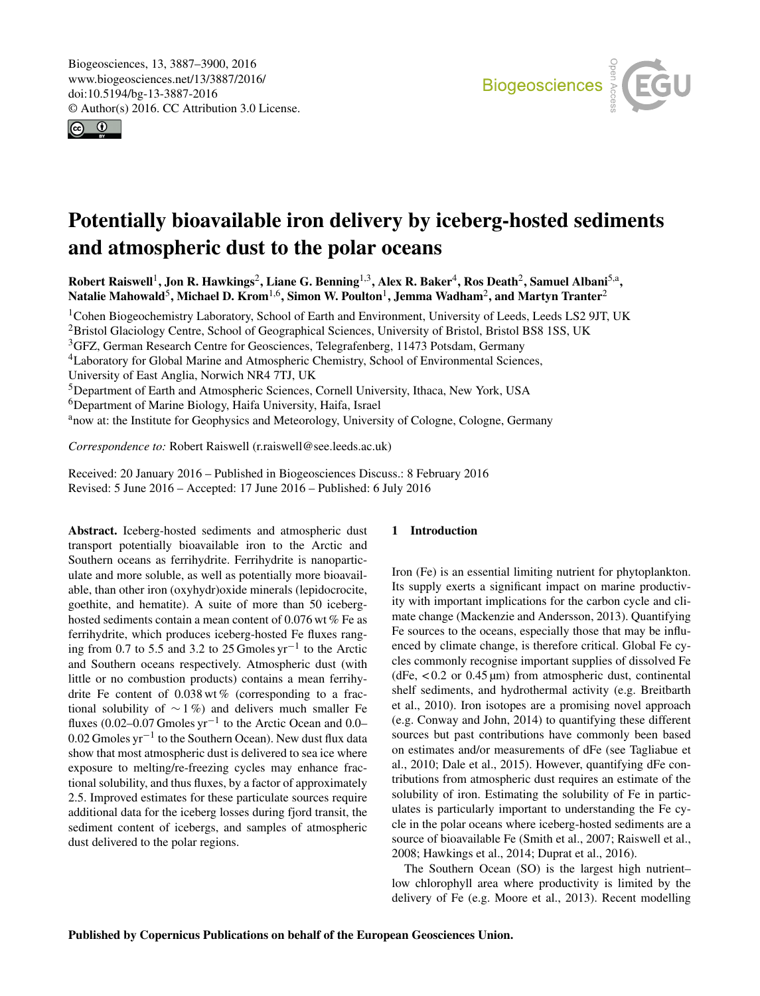<span id="page-0-1"></span>Biogeosciences, 13, 3887–3900, 2016 www.biogeosciences.net/13/3887/2016/ doi:10.5194/bg-13-3887-2016 © Author(s) 2016. CC Attribution 3.0 License.



# Potentially bioavailable iron delivery by iceberg-hosted sediments and atmospheric dust to the polar oceans

Robert Raiswell<sup>[1](#page-0-0)</sup>, Jon R. Hawkings<sup>[2](#page-0-0)</sup>, Liane G. Benning<sup>[1,3](#page-0-0)</sup>, Alex R. Baker<sup>[4](#page-0-0)</sup>, Ros Death<sup>2</sup>, Samuel Albani<sup>[5,a](#page-0-0)</sup>, Natalie Mahowald $^5$  $^5$ , Michael D. Krom $^{1,6}$  $^{1,6}$  $^{1,6}$ , Simon W. Poulton $^1$  $^1$ , Jemma Wadham $^2$  $^2$ , and Martyn Tranter $^2$ 

<sup>1</sup>Cohen Biogeochemistry Laboratory, School of Earth and Environment, University of Leeds, Leeds LS2 9JT, UK <sup>2</sup>Bristol Glaciology Centre, School of Geographical Sciences, University of Bristol, Bristol BS8 1SS, UK <sup>3</sup>GFZ, German Research Centre for Geosciences, Telegrafenberg, 11473 Potsdam, Germany <sup>4</sup>Laboratory for Global Marine and Atmospheric Chemistry, School of Environmental Sciences, University of East Anglia, Norwich NR4 7TJ, UK <sup>5</sup>Department of Earth and Atmospheric Sciences, Cornell University, Ithaca, New York, USA <sup>6</sup>Department of Marine Biology, Haifa University, Haifa, Israel <sup>a</sup>now at: the Institute for Geophysics and Meteorology, University of Cologne, Cologne, Germany

*Correspondence to:* Robert Raiswell (r.raiswell@see.leeds.ac.uk)

Received: 20 January 2016 – Published in Biogeosciences Discuss.: 8 February 2016 Revised: 5 June 2016 – Accepted: 17 June 2016 – Published: 6 July 2016

<span id="page-0-0"></span>Abstract. Iceberg-hosted sediments and atmospheric dust transport potentially bioavailable iron to the Arctic and Southern oceans as ferrihydrite. Ferrihydrite is nanoparticulate and more soluble, as well as potentially more bioavailable, than other iron (oxyhydr)oxide minerals (lepidocrocite, goethite, and hematite). A suite of more than 50 iceberghosted sediments contain a mean content of 0.076 wt % Fe as ferrihydrite, which produces iceberg-hosted Fe fluxes ranging from 0.7 to 5.5 and 3.2 to 25 Gmoles yr−<sup>1</sup> to the Arctic and Southern oceans respectively. Atmospheric dust (with little or no combustion products) contains a mean ferrihydrite Fe content of  $0.038 \text{ wt } \%$  (corresponding to a fractional solubility of  $\sim$  1%) and delivers much smaller Fe fluxes (0.02–0.07 Gmoles  $yr^{-1}$  to the Arctic Ocean and 0.0– 0.02 Gmoles yr−<sup>1</sup> to the Southern Ocean). New dust flux data show that most atmospheric dust is delivered to sea ice where exposure to melting/re-freezing cycles may enhance fractional solubility, and thus fluxes, by a factor of approximately 2.5. Improved estimates for these particulate sources require additional data for the iceberg losses during fjord transit, the sediment content of icebergs, and samples of atmospheric dust delivered to the polar regions.

## 1 Introduction

Iron (Fe) is an essential limiting nutrient for phytoplankton. Its supply exerts a significant impact on marine productivity with important implications for the carbon cycle and climate change (Mackenzie and Andersson, 2013). Quantifying Fe sources to the oceans, especially those that may be influenced by climate change, is therefore critical. Global Fe cycles commonly recognise important supplies of dissolved Fe (dFe,  $< 0.2$  or  $0.45 \mu m$ ) from atmospheric dust, continental shelf sediments, and hydrothermal activity (e.g. Breitbarth et al., 2010). Iron isotopes are a promising novel approach (e.g. Conway and John, 2014) to quantifying these different sources but past contributions have commonly been based on estimates and/or measurements of dFe (see Tagliabue et al., 2010; Dale et al., 2015). However, quantifying dFe contributions from atmospheric dust requires an estimate of the solubility of iron. Estimating the solubility of Fe in particulates is particularly important to understanding the Fe cycle in the polar oceans where iceberg-hosted sediments are a source of bioavailable Fe (Smith et al., 2007; Raiswell et al., 2008; Hawkings et al., 2014; Duprat et al., 2016).

The Southern Ocean (SO) is the largest high nutrient– low chlorophyll area where productivity is limited by the delivery of Fe (e.g. Moore et al., 2013). Recent modelling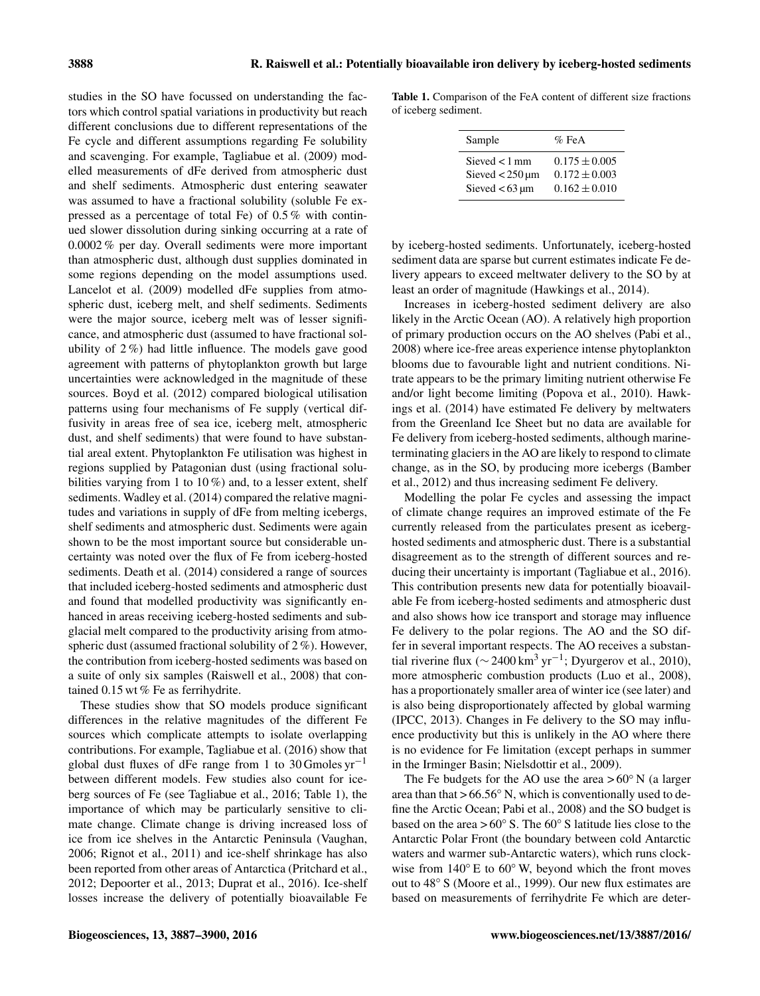studies in the SO have focussed on understanding the factors which control spatial variations in productivity but reach different conclusions due to different representations of the Fe cycle and different assumptions regarding Fe solubility and scavenging. For example, Tagliabue et al. (2009) modelled measurements of dFe derived from atmospheric dust and shelf sediments. Atmospheric dust entering seawater was assumed to have a fractional solubility (soluble Fe expressed as a percentage of total Fe) of 0.5 % with continued slower dissolution during sinking occurring at a rate of 0.0002 % per day. Overall sediments were more important than atmospheric dust, although dust supplies dominated in some regions depending on the model assumptions used. Lancelot et al. (2009) modelled dFe supplies from atmospheric dust, iceberg melt, and shelf sediments. Sediments were the major source, iceberg melt was of lesser significance, and atmospheric dust (assumed to have fractional solubility of 2 %) had little influence. The models gave good agreement with patterns of phytoplankton growth but large uncertainties were acknowledged in the magnitude of these sources. Boyd et al. (2012) compared biological utilisation patterns using four mechanisms of Fe supply (vertical diffusivity in areas free of sea ice, iceberg melt, atmospheric dust, and shelf sediments) that were found to have substantial areal extent. Phytoplankton Fe utilisation was highest in regions supplied by Patagonian dust (using fractional solubilities varying from 1 to  $10\%$ ) and, to a lesser extent, shelf sediments. Wadley et al. (2014) compared the relative magnitudes and variations in supply of dFe from melting icebergs, shelf sediments and atmospheric dust. Sediments were again shown to be the most important source but considerable uncertainty was noted over the flux of Fe from iceberg-hosted sediments. Death et al. (2014) considered a range of sources that included iceberg-hosted sediments and atmospheric dust and found that modelled productivity was significantly enhanced in areas receiving iceberg-hosted sediments and subglacial melt compared to the productivity arising from atmospheric dust (assumed fractional solubility of 2 %). However, the contribution from iceberg-hosted sediments was based on a suite of only six samples (Raiswell et al., 2008) that contained 0.15 wt % Fe as ferrihydrite.

These studies show that SO models produce significant differences in the relative magnitudes of the different Fe sources which complicate attempts to isolate overlapping contributions. For example, Tagliabue et al. (2016) show that global dust fluxes of dFe range from 1 to 30 Gmoles  $yr^{-1}$ between different models. Few studies also count for iceberg sources of Fe (see Tagliabue et al., 2016; Table 1), the importance of which may be particularly sensitive to climate change. Climate change is driving increased loss of ice from ice shelves in the Antarctic Peninsula (Vaughan, 2006; Rignot et al., 2011) and ice-shelf shrinkage has also been reported from other areas of Antarctica (Pritchard et al., 2012; Depoorter et al., 2013; Duprat et al., 2016). Ice-shelf losses increase the delivery of potentially bioavailable Fe

Table 1. Comparison of the FeA content of different size fractions of iceberg sediment.

| Sample                 | $\%$ FeA          |
|------------------------|-------------------|
| Sieved $< 1$ mm        | $0.175 \pm 0.005$ |
| Sieved $<$ 250 $\mu$ m | $0.172 \pm 0.003$ |
| Sieved $< 63 \mu m$    | $0.162 \pm 0.010$ |

by iceberg-hosted sediments. Unfortunately, iceberg-hosted sediment data are sparse but current estimates indicate Fe delivery appears to exceed meltwater delivery to the SO by at least an order of magnitude (Hawkings et al., 2014).

Increases in iceberg-hosted sediment delivery are also likely in the Arctic Ocean (AO). A relatively high proportion of primary production occurs on the AO shelves (Pabi et al., 2008) where ice-free areas experience intense phytoplankton blooms due to favourable light and nutrient conditions. Nitrate appears to be the primary limiting nutrient otherwise Fe and/or light become limiting (Popova et al., 2010). Hawkings et al. (2014) have estimated Fe delivery by meltwaters from the Greenland Ice Sheet but no data are available for Fe delivery from iceberg-hosted sediments, although marineterminating glaciers in the AO are likely to respond to climate change, as in the SO, by producing more icebergs (Bamber et al., 2012) and thus increasing sediment Fe delivery.

Modelling the polar Fe cycles and assessing the impact of climate change requires an improved estimate of the Fe currently released from the particulates present as iceberghosted sediments and atmospheric dust. There is a substantial disagreement as to the strength of different sources and reducing their uncertainty is important (Tagliabue et al., 2016). This contribution presents new data for potentially bioavailable Fe from iceberg-hosted sediments and atmospheric dust and also shows how ice transport and storage may influence Fe delivery to the polar regions. The AO and the SO differ in several important respects. The AO receives a substantial riverine flux ( $\sim$  2400 km<sup>3</sup> yr<sup>-1</sup>; Dyurgerov et al., 2010), more atmospheric combustion products (Luo et al., 2008), has a proportionately smaller area of winter ice (see later) and is also being disproportionately affected by global warming (IPCC, 2013). Changes in Fe delivery to the SO may influence productivity but this is unlikely in the AO where there is no evidence for Fe limitation (except perhaps in summer in the Irminger Basin; Nielsdottir et al., 2009).

The Fe budgets for the AO use the area  $> 60°$  N (a larger area than that >  $66.56°$  N, which is conventionally used to define the Arctic Ocean; Pabi et al., 2008) and the SO budget is based on the area >  $60^{\circ}$  S. The  $60^{\circ}$  S latitude lies close to the Antarctic Polar Front (the boundary between cold Antarctic waters and warmer sub-Antarctic waters), which runs clockwise from  $140°$  E to  $60°$  W, beyond which the front moves out to 48◦ S (Moore et al., 1999). Our new flux estimates are based on measurements of ferrihydrite Fe which are deter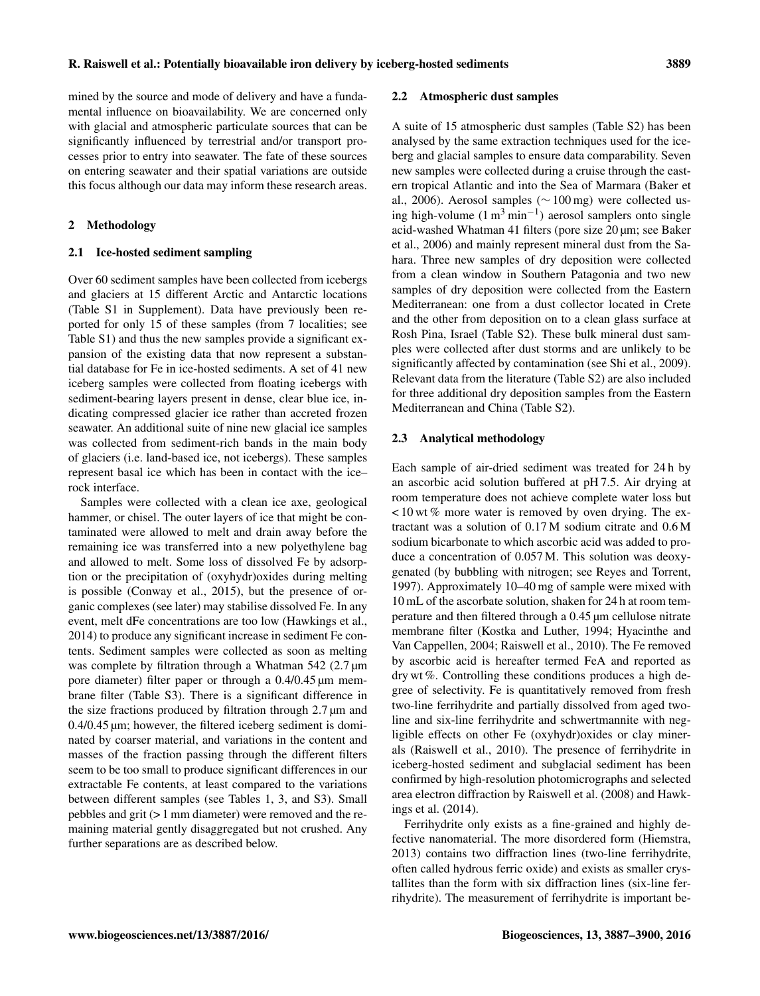mined by the source and mode of delivery and have a fundamental influence on bioavailability. We are concerned only with glacial and atmospheric particulate sources that can be significantly influenced by terrestrial and/or transport processes prior to entry into seawater. The fate of these sources on entering seawater and their spatial variations are outside this focus although our data may inform these research areas.

## 2 Methodology

## 2.1 Ice-hosted sediment sampling

Over 60 sediment samples have been collected from icebergs and glaciers at 15 different Arctic and Antarctic locations (Table S1 in Supplement). Data have previously been reported for only 15 of these samples (from 7 localities; see Table S1) and thus the new samples provide a significant expansion of the existing data that now represent a substantial database for Fe in ice-hosted sediments. A set of 41 new iceberg samples were collected from floating icebergs with sediment-bearing layers present in dense, clear blue ice, indicating compressed glacier ice rather than accreted frozen seawater. An additional suite of nine new glacial ice samples was collected from sediment-rich bands in the main body of glaciers (i.e. land-based ice, not icebergs). These samples represent basal ice which has been in contact with the ice– rock interface.

Samples were collected with a clean ice axe, geological hammer, or chisel. The outer layers of ice that might be contaminated were allowed to melt and drain away before the remaining ice was transferred into a new polyethylene bag and allowed to melt. Some loss of dissolved Fe by adsorption or the precipitation of (oxyhydr)oxides during melting is possible (Conway et al., 2015), but the presence of organic complexes (see later) may stabilise dissolved Fe. In any event, melt dFe concentrations are too low (Hawkings et al., 2014) to produce any significant increase in sediment Fe contents. Sediment samples were collected as soon as melting was complete by filtration through a Whatman 542 (2.7  $\mu$ m pore diameter) filter paper or through a 0.4/0.45 µm membrane filter (Table S3). There is a significant difference in the size fractions produced by filtration through 2.7 µm and 0.4/0.45 µm; however, the filtered iceberg sediment is dominated by coarser material, and variations in the content and masses of the fraction passing through the different filters seem to be too small to produce significant differences in our extractable Fe contents, at least compared to the variations between different samples (see Tables 1, 3, and S3). Small pebbles and grit (> 1 mm diameter) were removed and the remaining material gently disaggregated but not crushed. Any further separations are as described below.

#### 2.2 Atmospheric dust samples

A suite of 15 atmospheric dust samples (Table S2) has been analysed by the same extraction techniques used for the iceberg and glacial samples to ensure data comparability. Seven new samples were collected during a cruise through the eastern tropical Atlantic and into the Sea of Marmara (Baker et al., 2006). Aerosol samples (∼ 100 mg) were collected using high-volume  $(1 \text{ m}^3 \text{ min}^{-1})$  aerosol samplers onto single acid-washed Whatman 41 filters (pore size 20 µm; see Baker et al., 2006) and mainly represent mineral dust from the Sahara. Three new samples of dry deposition were collected from a clean window in Southern Patagonia and two new samples of dry deposition were collected from the Eastern Mediterranean: one from a dust collector located in Crete and the other from deposition on to a clean glass surface at Rosh Pina, Israel (Table S2). These bulk mineral dust samples were collected after dust storms and are unlikely to be significantly affected by contamination (see Shi et al., 2009). Relevant data from the literature (Table S2) are also included for three additional dry deposition samples from the Eastern Mediterranean and China (Table S2).

#### 2.3 Analytical methodology

Each sample of air-dried sediment was treated for 24 h by an ascorbic acid solution buffered at pH 7.5. Air drying at room temperature does not achieve complete water loss but  $<$  10 wt % more water is removed by oven drying. The extractant was a solution of 0.17 M sodium citrate and 0.6 M sodium bicarbonate to which ascorbic acid was added to produce a concentration of 0.057 M. This solution was deoxygenated (by bubbling with nitrogen; see Reyes and Torrent, 1997). Approximately 10–40 mg of sample were mixed with 10 mL of the ascorbate solution, shaken for 24 h at room temperature and then filtered through a 0.45 µm cellulose nitrate membrane filter (Kostka and Luther, 1994; Hyacinthe and Van Cappellen, 2004; Raiswell et al., 2010). The Fe removed by ascorbic acid is hereafter termed FeA and reported as dry wt %. Controlling these conditions produces a high degree of selectivity. Fe is quantitatively removed from fresh two-line ferrihydrite and partially dissolved from aged twoline and six-line ferrihydrite and schwertmannite with negligible effects on other Fe (oxyhydr)oxides or clay minerals (Raiswell et al., 2010). The presence of ferrihydrite in iceberg-hosted sediment and subglacial sediment has been confirmed by high-resolution photomicrographs and selected area electron diffraction by Raiswell et al. (2008) and Hawkings et al. (2014).

Ferrihydrite only exists as a fine-grained and highly defective nanomaterial. The more disordered form (Hiemstra, 2013) contains two diffraction lines (two-line ferrihydrite, often called hydrous ferric oxide) and exists as smaller crystallites than the form with six diffraction lines (six-line ferrihydrite). The measurement of ferrihydrite is important be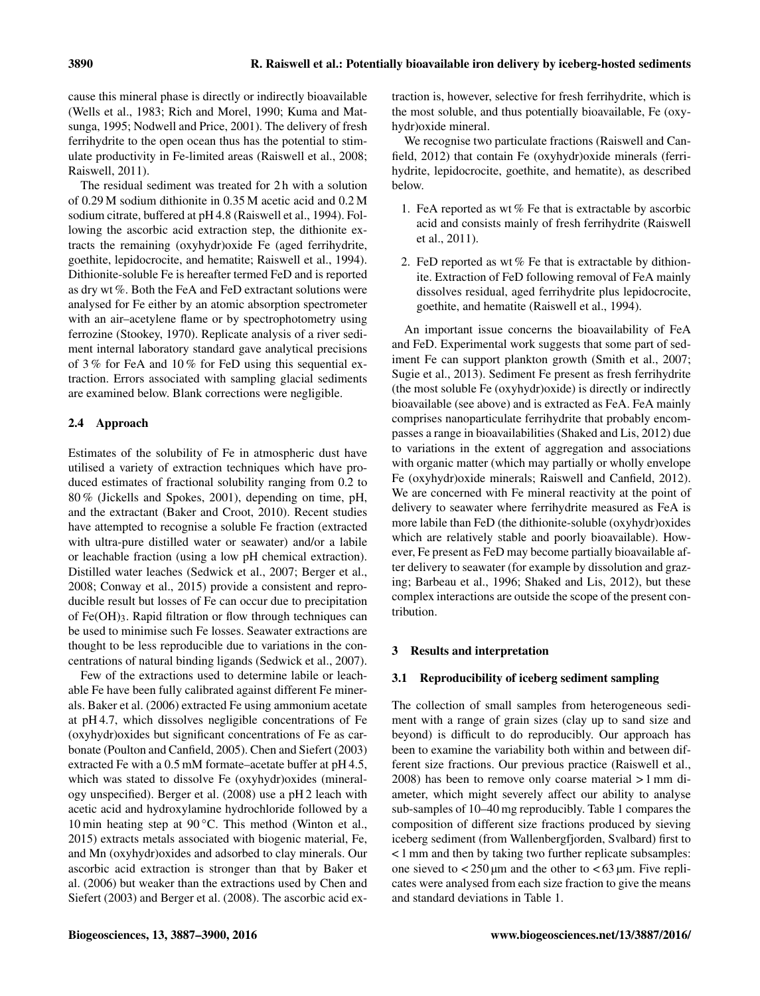cause this mineral phase is directly or indirectly bioavailable (Wells et al., 1983; Rich and Morel, 1990; Kuma and Matsunga, 1995; Nodwell and Price, 2001). The delivery of fresh ferrihydrite to the open ocean thus has the potential to stimulate productivity in Fe-limited areas (Raiswell et al., 2008; Raiswell, 2011).

The residual sediment was treated for 2 h with a solution of 0.29 M sodium dithionite in 0.35 M acetic acid and 0.2 M sodium citrate, buffered at pH 4.8 (Raiswell et al., 1994). Following the ascorbic acid extraction step, the dithionite extracts the remaining (oxyhydr)oxide Fe (aged ferrihydrite, goethite, lepidocrocite, and hematite; Raiswell et al., 1994). Dithionite-soluble Fe is hereafter termed FeD and is reported as dry wt %. Both the FeA and FeD extractant solutions were analysed for Fe either by an atomic absorption spectrometer with an air–acetylene flame or by spectrophotometry using ferrozine (Stookey, 1970). Replicate analysis of a river sediment internal laboratory standard gave analytical precisions of 3 % for FeA and 10 % for FeD using this sequential extraction. Errors associated with sampling glacial sediments are examined below. Blank corrections were negligible.

## 2.4 Approach

Estimates of the solubility of Fe in atmospheric dust have utilised a variety of extraction techniques which have produced estimates of fractional solubility ranging from 0.2 to 80 % (Jickells and Spokes, 2001), depending on time, pH, and the extractant (Baker and Croot, 2010). Recent studies have attempted to recognise a soluble Fe fraction (extracted with ultra-pure distilled water or seawater) and/or a labile or leachable fraction (using a low pH chemical extraction). Distilled water leaches (Sedwick et al., 2007; Berger et al., 2008; Conway et al., 2015) provide a consistent and reproducible result but losses of Fe can occur due to precipitation of  $Fe(OH)$ <sub>3</sub>. Rapid filtration or flow through techniques can be used to minimise such Fe losses. Seawater extractions are thought to be less reproducible due to variations in the concentrations of natural binding ligands (Sedwick et al., 2007).

Few of the extractions used to determine labile or leachable Fe have been fully calibrated against different Fe minerals. Baker et al. (2006) extracted Fe using ammonium acetate at pH 4.7, which dissolves negligible concentrations of Fe (oxyhydr)oxides but significant concentrations of Fe as carbonate (Poulton and Canfield, 2005). Chen and Siefert (2003) extracted Fe with a 0.5 mM formate–acetate buffer at pH 4.5, which was stated to dissolve Fe (oxyhydr)oxides (mineralogy unspecified). Berger et al. (2008) use a pH 2 leach with acetic acid and hydroxylamine hydrochloride followed by a 10 min heating step at  $90^{\circ}$ C. This method (Winton et al., 2015) extracts metals associated with biogenic material, Fe, and Mn (oxyhydr)oxides and adsorbed to clay minerals. Our ascorbic acid extraction is stronger than that by Baker et al. (2006) but weaker than the extractions used by Chen and Siefert (2003) and Berger et al. (2008). The ascorbic acid extraction is, however, selective for fresh ferrihydrite, which is the most soluble, and thus potentially bioavailable, Fe (oxyhydr)oxide mineral.

We recognise two particulate fractions (Raiswell and Canfield, 2012) that contain Fe (oxyhydr)oxide minerals (ferrihydrite, lepidocrocite, goethite, and hematite), as described below.

- 1. FeA reported as wt % Fe that is extractable by ascorbic acid and consists mainly of fresh ferrihydrite (Raiswell et al., 2011).
- 2. FeD reported as wt  $%$  Fe that is extractable by dithionite. Extraction of FeD following removal of FeA mainly dissolves residual, aged ferrihydrite plus lepidocrocite, goethite, and hematite (Raiswell et al., 1994).

An important issue concerns the bioavailability of FeA and FeD. Experimental work suggests that some part of sediment Fe can support plankton growth (Smith et al., 2007; Sugie et al., 2013). Sediment Fe present as fresh ferrihydrite (the most soluble Fe (oxyhydr)oxide) is directly or indirectly bioavailable (see above) and is extracted as FeA. FeA mainly comprises nanoparticulate ferrihydrite that probably encompasses a range in bioavailabilities (Shaked and Lis, 2012) due to variations in the extent of aggregation and associations with organic matter (which may partially or wholly envelope Fe (oxyhydr)oxide minerals; Raiswell and Canfield, 2012). We are concerned with Fe mineral reactivity at the point of delivery to seawater where ferrihydrite measured as FeA is more labile than FeD (the dithionite-soluble (oxyhydr)oxides which are relatively stable and poorly bioavailable). However, Fe present as FeD may become partially bioavailable after delivery to seawater (for example by dissolution and grazing; Barbeau et al., 1996; Shaked and Lis, 2012), but these complex interactions are outside the scope of the present contribution.

## 3 Results and interpretation

## 3.1 Reproducibility of iceberg sediment sampling

The collection of small samples from heterogeneous sediment with a range of grain sizes (clay up to sand size and beyond) is difficult to do reproducibly. Our approach has been to examine the variability both within and between different size fractions. Our previous practice (Raiswell et al., 2008) has been to remove only coarse material > 1 mm diameter, which might severely affect our ability to analyse sub-samples of 10–40 mg reproducibly. Table 1 compares the composition of different size fractions produced by sieving iceberg sediment (from Wallenbergfjorden, Svalbard) first to < 1 mm and then by taking two further replicate subsamples: one sieved to  $\langle 250 \mu \text{m} \rangle$  and the other to  $\langle 63 \mu \text{m} \rangle$ . Five replicates were analysed from each size fraction to give the means and standard deviations in Table 1.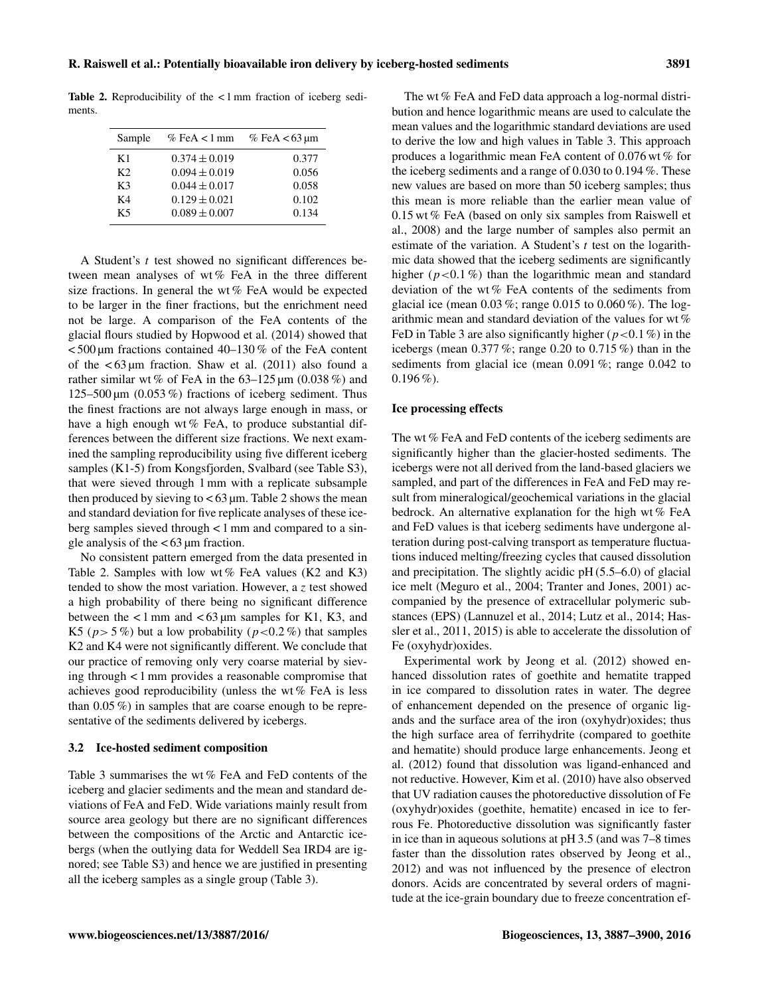Table 2. Reproducibility of the < 1 mm fraction of iceberg sediments.

| Sample         | $%$ FeA < 1 mm    | % FeA $<$ 63 µm |
|----------------|-------------------|-----------------|
| K1             | $0.374 \pm 0.019$ | 0.377           |
| K <sub>2</sub> | $0.094 \pm 0.019$ | 0.056           |
| K3             | $0.044 \pm 0.017$ | 0.058           |
| K4             | $0.129 \pm 0.021$ | 0.102           |
| K5             | $0.089 \pm 0.007$ | 0.134           |

A Student's t test showed no significant differences between mean analyses of wt % FeA in the three different size fractions. In general the wt % FeA would be expected to be larger in the finer fractions, but the enrichment need not be large. A comparison of the FeA contents of the glacial flours studied by Hopwood et al. (2014) showed that  $<$  500 µm fractions contained 40–130 % of the FeA content of the  $\lt 63 \mu m$  fraction. Shaw et al. (2011) also found a rather similar wt % of FeA in the  $63-125 \,\text{\upmu m}$  (0.038 %) and 125–500  $\mu$ m (0.053 %) fractions of iceberg sediment. Thus the finest fractions are not always large enough in mass, or have a high enough wt% FeA, to produce substantial differences between the different size fractions. We next examined the sampling reproducibility using five different iceberg samples (K1-5) from Kongsfjorden, Svalbard (see Table S3), that were sieved through 1 mm with a replicate subsample then produced by sieving to  $< 63 \, \mu m$ . Table 2 shows the mean and standard deviation for five replicate analyses of these iceberg samples sieved through < 1 mm and compared to a single analysis of the  $< 63 \mu m$  fraction.

No consistent pattern emerged from the data presented in Table 2. Samples with low wt % FeA values (K2 and K3) tended to show the most variation. However, a z test showed a high probability of there being no significant difference between the  $\lt 1$  mm and  $\lt 63$  µm samples for K1, K3, and K5 ( $p > 5\%$ ) but a low probability ( $p < 0.2\%$ ) that samples K2 and K4 were not significantly different. We conclude that our practice of removing only very coarse material by sieving through < 1 mm provides a reasonable compromise that achieves good reproducibility (unless the wt % FeA is less than 0.05 %) in samples that are coarse enough to be representative of the sediments delivered by icebergs.

#### 3.2 Ice-hosted sediment composition

Table 3 summarises the wt % FeA and FeD contents of the iceberg and glacier sediments and the mean and standard deviations of FeA and FeD. Wide variations mainly result from source area geology but there are no significant differences between the compositions of the Arctic and Antarctic icebergs (when the outlying data for Weddell Sea IRD4 are ignored; see Table S3) and hence we are justified in presenting all the iceberg samples as a single group (Table 3).

The wt % FeA and FeD data approach a log-normal distribution and hence logarithmic means are used to calculate the mean values and the logarithmic standard deviations are used to derive the low and high values in Table 3. This approach produces a logarithmic mean FeA content of 0.076 wt % for the iceberg sediments and a range of 0.030 to 0.194 %. These new values are based on more than 50 iceberg samples; thus this mean is more reliable than the earlier mean value of 0.15 wt % FeA (based on only six samples from Raiswell et al., 2008) and the large number of samples also permit an estimate of the variation. A Student's  $t$  test on the logarithmic data showed that the iceberg sediments are significantly higher ( $p < 0.1\%$ ) than the logarithmic mean and standard deviation of the wt % FeA contents of the sediments from glacial ice (mean  $0.03\%$ ; range  $0.015$  to  $0.060\%$ ). The logarithmic mean and standard deviation of the values for wt % FeD in Table 3 are also significantly higher ( $p < 0.1\%$ ) in the icebergs (mean  $0.377\%$ ; range  $0.20$  to  $0.715\%$ ) than in the sediments from glacial ice (mean 0.091 %; range 0.042 to  $0.196\%$ ).

#### Ice processing effects

The wt % FeA and FeD contents of the iceberg sediments are significantly higher than the glacier-hosted sediments. The icebergs were not all derived from the land-based glaciers we sampled, and part of the differences in FeA and FeD may result from mineralogical/geochemical variations in the glacial bedrock. An alternative explanation for the high wt % FeA and FeD values is that iceberg sediments have undergone alteration during post-calving transport as temperature fluctuations induced melting/freezing cycles that caused dissolution and precipitation. The slightly acidic pH (5.5–6.0) of glacial ice melt (Meguro et al., 2004; Tranter and Jones, 2001) accompanied by the presence of extracellular polymeric substances (EPS) (Lannuzel et al., 2014; Lutz et al., 2014; Hassler et al., 2011, 2015) is able to accelerate the dissolution of Fe (oxyhydr)oxides.

Experimental work by Jeong et al. (2012) showed enhanced dissolution rates of goethite and hematite trapped in ice compared to dissolution rates in water. The degree of enhancement depended on the presence of organic ligands and the surface area of the iron (oxyhydr)oxides; thus the high surface area of ferrihydrite (compared to goethite and hematite) should produce large enhancements. Jeong et al. (2012) found that dissolution was ligand-enhanced and not reductive. However, Kim et al. (2010) have also observed that UV radiation causes the photoreductive dissolution of Fe (oxyhydr)oxides (goethite, hematite) encased in ice to ferrous Fe. Photoreductive dissolution was significantly faster in ice than in aqueous solutions at pH 3.5 (and was 7–8 times faster than the dissolution rates observed by Jeong et al., 2012) and was not influenced by the presence of electron donors. Acids are concentrated by several orders of magnitude at the ice-grain boundary due to freeze concentration ef-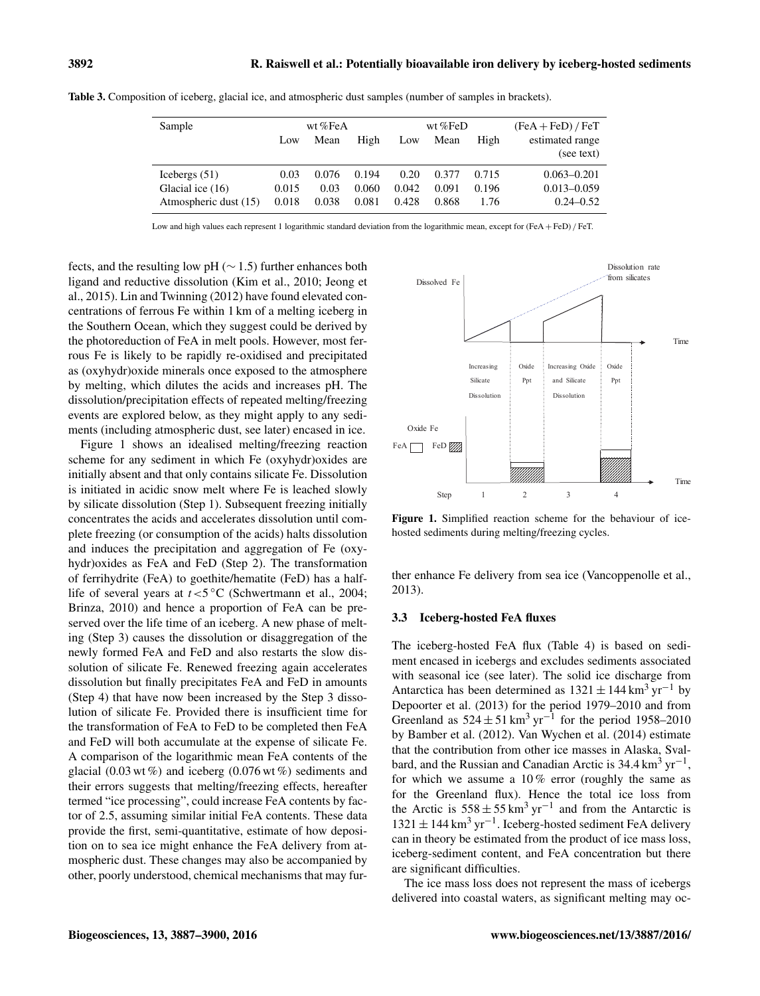| Sample                | wt%FeA |       | wt % $FeD$ |       |       | $(FeA + FeD) / FeT$ |                 |
|-----------------------|--------|-------|------------|-------|-------|---------------------|-----------------|
|                       | Low    | Mean  | High       | Low   | Mean  | High                | estimated range |
|                       |        |       |            |       |       |                     | (see text)      |
| Icebergs $(51)$       | 0.03   | 0.076 | 0.194      | 0.20  | 0.377 | 0.715               | $0.063 - 0.201$ |
| Glacial ice (16)      | 0.015  | 0.03  | 0.060      | 0.042 | 0.091 | 0.196               | $0.013 - 0.059$ |
| Atmospheric dust (15) | 0.018  | 0.038 | 0.081      | 0.428 | 0.868 | 1.76                | $0.24 - 0.52$   |

Table 3. Composition of iceberg, glacial ice, and atmospheric dust samples (number of samples in brackets).

Low and high values each represent 1 logarithmic standard deviation from the logarithmic mean, except for (FeA + FeD) / FeT.

fects, and the resulting low pH ( $\sim$  1.5) further enhances both ligand and reductive dissolution (Kim et al., 2010; Jeong et al., 2015). Lin and Twinning (2012) have found elevated concentrations of ferrous Fe within 1 km of a melting iceberg in the Southern Ocean, which they suggest could be derived by the photoreduction of FeA in melt pools. However, most ferrous Fe is likely to be rapidly re-oxidised and precipitated as (oxyhydr)oxide minerals once exposed to the atmosphere by melting, which dilutes the acids and increases pH. The dissolution/precipitation effects of repeated melting/freezing events are explored below, as they might apply to any sediments (including atmospheric dust, see later) encased in ice.

Figure 1 shows an idealised melting/freezing reaction scheme for any sediment in which Fe (oxyhydr)oxides are initially absent and that only contains silicate Fe. Dissolution is initiated in acidic snow melt where Fe is leached slowly by silicate dissolution (Step 1). Subsequent freezing initially concentrates the acids and accelerates dissolution until complete freezing (or consumption of the acids) halts dissolution and induces the precipitation and aggregation of Fe (oxyhydr)oxides as FeA and FeD (Step 2). The transformation of ferrihydrite (FeA) to goethite/hematite (FeD) has a halflife of several years at  $t < 5^{\circ}$ C (Schwertmann et al., 2004; Brinza, 2010) and hence a proportion of FeA can be preserved over the life time of an iceberg. A new phase of melting (Step 3) causes the dissolution or disaggregation of the newly formed FeA and FeD and also restarts the slow dissolution of silicate Fe. Renewed freezing again accelerates dissolution but finally precipitates FeA and FeD in amounts (Step 4) that have now been increased by the Step 3 dissolution of silicate Fe. Provided there is insufficient time for the transformation of FeA to FeD to be completed then FeA and FeD will both accumulate at the expense of silicate Fe. A comparison of the logarithmic mean FeA contents of the glacial (0.03 wt  $\%$ ) and iceberg (0.076 wt  $\%$ ) sediments and their errors suggests that melting/freezing effects, hereafter termed "ice processing", could increase FeA contents by factor of 2.5, assuming similar initial FeA contents. These data provide the first, semi-quantitative, estimate of how deposition on to sea ice might enhance the FeA delivery from atmospheric dust. These changes may also be accompanied by other, poorly understood, chemical mechanisms that may fur-



Figure 1. Simplified reaction scheme for the behaviour of icehosted sediments during melting/freezing cycles.

ther enhance Fe delivery from sea ice (Vancoppenolle et al., 2013).

#### 3.3 Iceberg-hosted FeA fluxes

The iceberg-hosted FeA flux (Table 4) is based on sediment encased in icebergs and excludes sediments associated with seasonal ice (see later). The solid ice discharge from Antarctica has been determined as  $1321 \pm 144$  km<sup>3</sup> yr<sup>-1</sup> by Depoorter et al. (2013) for the period 1979–2010 and from Greenland as  $524 \pm 51 \text{ km}^3 \text{ yr}^{-1}$  for the period 1958–2010 by Bamber et al. (2012). Van Wychen et al. (2014) estimate that the contribution from other ice masses in Alaska, Svalbard, and the Russian and Canadian Arctic is  $34.4 \text{ km}^3 \text{ yr}^{-1}$ , for which we assume a  $10\%$  error (roughly the same as for the Greenland flux). Hence the total ice loss from the Arctic is  $558 \pm 55 \text{ km}^3 \text{ yr}^{-1}$  and from the Antarctic is 1321 ± 144 km<sup>3</sup> yr−<sup>1</sup> . Iceberg-hosted sediment FeA delivery can in theory be estimated from the product of ice mass loss, iceberg-sediment content, and FeA concentration but there are significant difficulties.

The ice mass loss does not represent the mass of icebergs delivered into coastal waters, as significant melting may oc-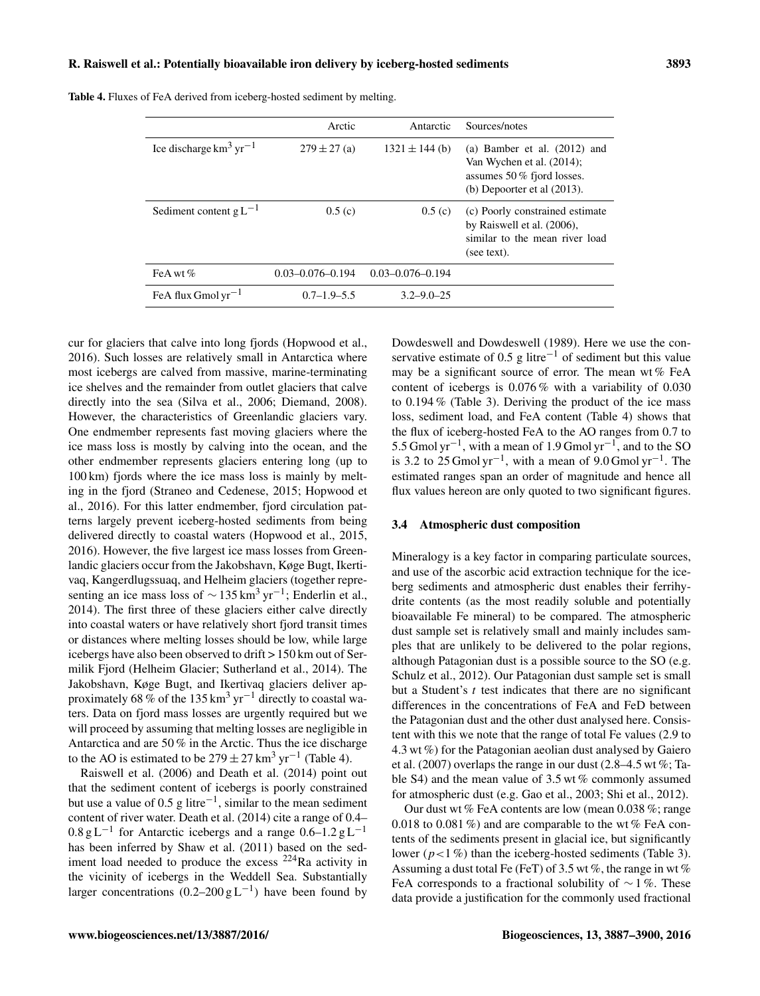#### R. Raiswell et al.: Potentially bioavailable iron delivery by iceberg-hosted sediments 3893

|                              | Arctic                 | Antarctic              | Sources/notes                                                                                                                 |
|------------------------------|------------------------|------------------------|-------------------------------------------------------------------------------------------------------------------------------|
| Ice discharge $km^3 yr^{-1}$ | $279 \pm 27$ (a)       | $1321 \pm 144$ (b)     | (a) Bamber et al. $(2012)$ and<br>Van Wychen et al. (2014);<br>assumes $50\%$ fjord losses.<br>(b) Depoorter et al $(2013)$ . |
| Sediment content $gL^{-1}$   | 0.5(c)                 | 0.5(c)                 | (c) Poorly constrained estimate<br>by Raiswell et al. (2006),<br>similar to the mean river load<br>(see text).                |
| FeA wt $%$                   | $0.03 - 0.076 - 0.194$ | $0.03 - 0.076 - 0.194$ |                                                                                                                               |
| FeA flux Gmol $yr^{-1}$      | $0.7 - 1.9 - 5.5$      | $3.2 - 9.0 - 25$       |                                                                                                                               |

Table 4. Fluxes of FeA derived from iceberg-hosted sediment by melting.

cur for glaciers that calve into long fjords (Hopwood et al., 2016). Such losses are relatively small in Antarctica where most icebergs are calved from massive, marine-terminating ice shelves and the remainder from outlet glaciers that calve directly into the sea (Silva et al., 2006; Diemand, 2008). However, the characteristics of Greenlandic glaciers vary. One endmember represents fast moving glaciers where the ice mass loss is mostly by calving into the ocean, and the other endmember represents glaciers entering long (up to 100 km) fjords where the ice mass loss is mainly by melting in the fjord (Straneo and Cedenese, 2015; Hopwood et al., 2016). For this latter endmember, fjord circulation patterns largely prevent iceberg-hosted sediments from being delivered directly to coastal waters (Hopwood et al., 2015, 2016). However, the five largest ice mass losses from Greenlandic glaciers occur from the Jakobshavn, Køge Bugt, Ikertivaq, Kangerdlugssuaq, and Helheim glaciers (together representing an ice mass loss of  $\sim$  135 km<sup>3</sup> yr<sup>-1</sup>; Enderlin et al., 2014). The first three of these glaciers either calve directly into coastal waters or have relatively short fjord transit times or distances where melting losses should be low, while large icebergs have also been observed to drift > 150 km out of Sermilik Fjord (Helheim Glacier; Sutherland et al., 2014). The Jakobshavn, Køge Bugt, and Ikertivaq glaciers deliver approximately 68 % of the 135 km<sup>3</sup> yr<sup>-1</sup> directly to coastal waters. Data on fjord mass losses are urgently required but we will proceed by assuming that melting losses are negligible in Antarctica and are 50 % in the Arctic. Thus the ice discharge to the AO is estimated to be  $279 \pm 27$  km<sup>3</sup> yr<sup>-1</sup> (Table 4).

Raiswell et al. (2006) and Death et al. (2014) point out that the sediment content of icebergs is poorly constrained but use a value of 0.5 g litre<sup>-1</sup>, similar to the mean sediment content of river water. Death et al. (2014) cite a range of 0.4–  $0.8 \text{ g L}^{-1}$  for Antarctic icebergs and a range  $0.6-1.2 \text{ g L}^{-1}$ has been inferred by Shaw et al. (2011) based on the sediment load needed to produce the excess  $^{224}$ Ra activity in the vicinity of icebergs in the Weddell Sea. Substantially larger concentrations  $(0.2-200 \text{ g L}^{-1})$  have been found by

Dowdeswell and Dowdeswell (1989). Here we use the conservative estimate of 0.5 g litre<sup> $-1$ </sup> of sediment but this value may be a significant source of error. The mean wt  $%$  FeA content of icebergs is 0.076 % with a variability of 0.030 to 0.194 % (Table 3). Deriving the product of the ice mass loss, sediment load, and FeA content (Table 4) shows that the flux of iceberg-hosted FeA to the AO ranges from 0.7 to 5.5 Gmol yr−<sup>1</sup> , with a mean of 1.9 Gmol yr−<sup>1</sup> , and to the SO is 3.2 to 25 Gmol yr<sup>-1</sup>, with a mean of  $9.0$  Gmol yr<sup>-1</sup>. The estimated ranges span an order of magnitude and hence all flux values hereon are only quoted to two significant figures.

#### 3.4 Atmospheric dust composition

Mineralogy is a key factor in comparing particulate sources, and use of the ascorbic acid extraction technique for the iceberg sediments and atmospheric dust enables their ferrihydrite contents (as the most readily soluble and potentially bioavailable Fe mineral) to be compared. The atmospheric dust sample set is relatively small and mainly includes samples that are unlikely to be delivered to the polar regions, although Patagonian dust is a possible source to the SO (e.g. Schulz et al., 2012). Our Patagonian dust sample set is small but a Student's  $t$  test indicates that there are no significant differences in the concentrations of FeA and FeD between the Patagonian dust and the other dust analysed here. Consistent with this we note that the range of total Fe values (2.9 to 4.3 wt %) for the Patagonian aeolian dust analysed by Gaiero et al.  $(2007)$  overlaps the range in our dust  $(2.8-4.5 \text{ wt\%})$ ; Table S4) and the mean value of 3.5 wt % commonly assumed for atmospheric dust (e.g. Gao et al., 2003; Shi et al., 2012).

Our dust wt % FeA contents are low (mean 0.038 %; range 0.018 to 0.081  $\%$ ) and are comparable to the wt  $\%$  FeA contents of the sediments present in glacial ice, but significantly lower ( $p < 1\%$ ) than the iceberg-hosted sediments (Table 3). Assuming a dust total Fe (FeT) of 3.5 wt %, the range in wt % FeA corresponds to a fractional solubility of  $\sim$  1%. These data provide a justification for the commonly used fractional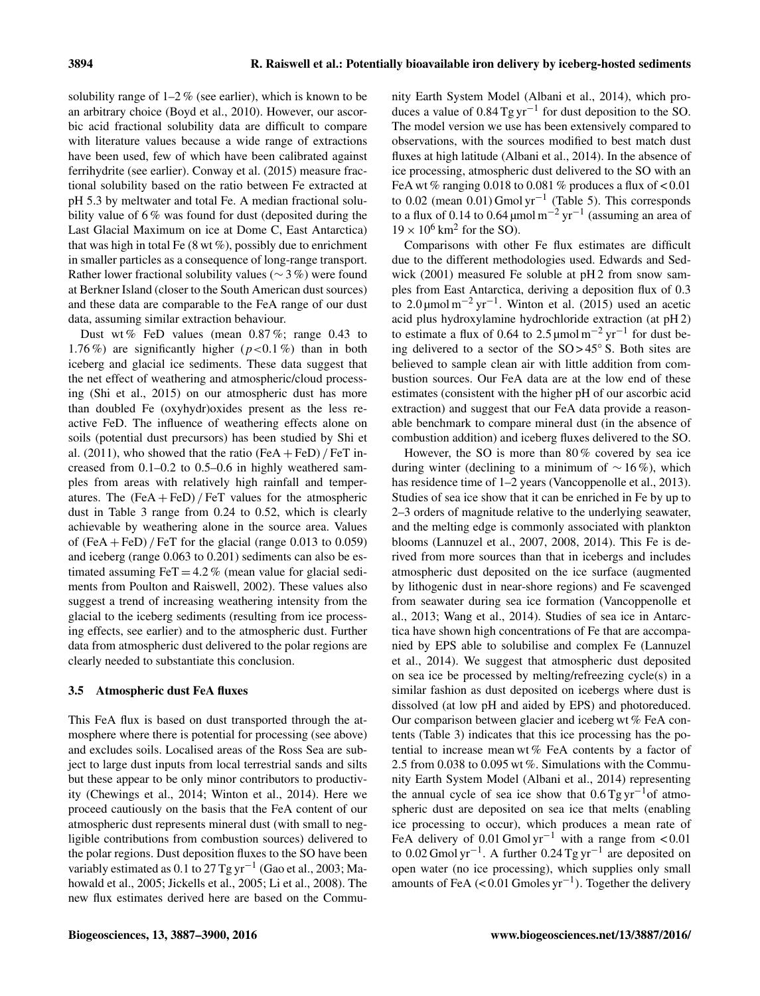solubility range of  $1-2\%$  (see earlier), which is known to be an arbitrary choice (Boyd et al., 2010). However, our ascorbic acid fractional solubility data are difficult to compare with literature values because a wide range of extractions have been used, few of which have been calibrated against ferrihydrite (see earlier). Conway et al. (2015) measure fractional solubility based on the ratio between Fe extracted at pH 5.3 by meltwater and total Fe. A median fractional solubility value of 6% was found for dust (deposited during the Last Glacial Maximum on ice at Dome C, East Antarctica) that was high in total Fe  $(8 wt\%)$ , possibly due to enrichment in smaller particles as a consequence of long-range transport. Rather lower fractional solubility values (∼ 3 %) were found at Berkner Island (closer to the South American dust sources) and these data are comparable to the FeA range of our dust data, assuming similar extraction behaviour.

Dust wt % FeD values (mean 0.87 %; range 0.43 to 1.76%) are significantly higher  $(p<0.1\%)$  than in both iceberg and glacial ice sediments. These data suggest that the net effect of weathering and atmospheric/cloud processing (Shi et al., 2015) on our atmospheric dust has more than doubled Fe (oxyhydr)oxides present as the less reactive FeD. The influence of weathering effects alone on soils (potential dust precursors) has been studied by Shi et al. (2011), who showed that the ratio  $(FeA + FeD)$  / FeT increased from 0.1–0.2 to 0.5–0.6 in highly weathered samples from areas with relatively high rainfall and temperatures. The  $(FeA + FeD)/FeT$  values for the atmospheric dust in Table 3 range from 0.24 to 0.52, which is clearly achievable by weathering alone in the source area. Values of  $(FeA + FeD)$  / FeT for the glacial (range 0.013 to 0.059) and iceberg (range 0.063 to 0.201) sediments can also be estimated assuming  $FeT = 4.2\%$  (mean value for glacial sediments from Poulton and Raiswell, 2002). These values also suggest a trend of increasing weathering intensity from the glacial to the iceberg sediments (resulting from ice processing effects, see earlier) and to the atmospheric dust. Further data from atmospheric dust delivered to the polar regions are clearly needed to substantiate this conclusion.

#### 3.5 Atmospheric dust FeA fluxes

This FeA flux is based on dust transported through the atmosphere where there is potential for processing (see above) and excludes soils. Localised areas of the Ross Sea are subject to large dust inputs from local terrestrial sands and silts but these appear to be only minor contributors to productivity (Chewings et al., 2014; Winton et al., 2014). Here we proceed cautiously on the basis that the FeA content of our atmospheric dust represents mineral dust (with small to negligible contributions from combustion sources) delivered to the polar regions. Dust deposition fluxes to the SO have been variably estimated as 0.1 to 27 Tg yr<sup>-1</sup> (Gao et al., 2003; Mahowald et al., 2005; Jickells et al., 2005; Li et al., 2008). The new flux estimates derived here are based on the Community Earth System Model (Albani et al., 2014), which produces a value of  $0.84$  Tg yr<sup>-1</sup> for dust deposition to the SO. The model version we use has been extensively compared to observations, with the sources modified to best match dust fluxes at high latitude (Albani et al., 2014). In the absence of ice processing, atmospheric dust delivered to the SO with an FeA wt % ranging  $0.018$  to  $0.081$  % produces a flux of  $< 0.01$ to 0.02 (mean  $0.01$ ) Gmol yr<sup>-1</sup> (Table 5). This corresponds to a flux of 0.14 to 0.64  $\mu$ mol m<sup>-2</sup> yr<sup>-1</sup> (assuming an area of  $19 \times 10^6$  km<sup>2</sup> for the SO).

Comparisons with other Fe flux estimates are difficult due to the different methodologies used. Edwards and Sedwick (2001) measured Fe soluble at pH 2 from snow samples from East Antarctica, deriving a deposition flux of 0.3 to 2.0 μmol m<sup>-2</sup> yr<sup>-1</sup>. Winton et al. (2015) used an acetic acid plus hydroxylamine hydrochloride extraction (at pH 2) to estimate a flux of 0.64 to 2.5 µmol  $m^{-2}$  yr<sup>-1</sup> for dust being delivered to a sector of the SO > 45◦ S. Both sites are believed to sample clean air with little addition from combustion sources. Our FeA data are at the low end of these estimates (consistent with the higher pH of our ascorbic acid extraction) and suggest that our FeA data provide a reasonable benchmark to compare mineral dust (in the absence of combustion addition) and iceberg fluxes delivered to the SO.

However, the SO is more than 80 % covered by sea ice during winter (declining to a minimum of  $\sim 16\%$ ), which has residence time of 1–2 years (Vancoppenolle et al., 2013). Studies of sea ice show that it can be enriched in Fe by up to 2–3 orders of magnitude relative to the underlying seawater, and the melting edge is commonly associated with plankton blooms (Lannuzel et al., 2007, 2008, 2014). This Fe is derived from more sources than that in icebergs and includes atmospheric dust deposited on the ice surface (augmented by lithogenic dust in near-shore regions) and Fe scavenged from seawater during sea ice formation (Vancoppenolle et al., 2013; Wang et al., 2014). Studies of sea ice in Antarctica have shown high concentrations of Fe that are accompanied by EPS able to solubilise and complex Fe (Lannuzel et al., 2014). We suggest that atmospheric dust deposited on sea ice be processed by melting/refreezing cycle(s) in a similar fashion as dust deposited on icebergs where dust is dissolved (at low pH and aided by EPS) and photoreduced. Our comparison between glacier and iceberg wt % FeA contents (Table 3) indicates that this ice processing has the potential to increase mean wt % FeA contents by a factor of 2.5 from 0.038 to 0.095 wt %. Simulations with the Community Earth System Model (Albani et al., 2014) representing the annual cycle of sea ice show that  $0.6$  Tg yr<sup>-1</sup>of atmospheric dust are deposited on sea ice that melts (enabling ice processing to occur), which produces a mean rate of FeA delivery of 0.01 Gmol yr<sup>-1</sup> with a range from <0.01 to 0.02 Gmol yr−<sup>1</sup> . A further 0.24 Tg yr−<sup>1</sup> are deposited on open water (no ice processing), which supplies only small amounts of FeA (< 0.01 Gmoles yr−<sup>1</sup> ). Together the delivery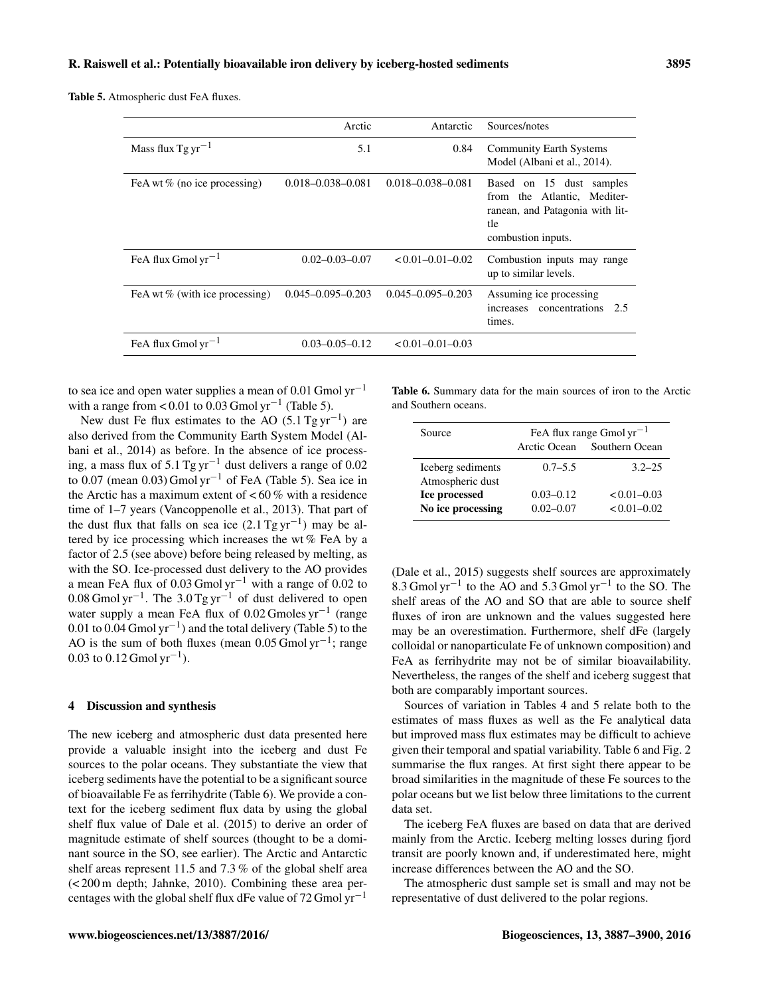Table 5. Atmospheric dust FeA fluxes.

|                                   | Arctic                  | Antarctic               | Sources/notes                                                                                                           |
|-----------------------------------|-------------------------|-------------------------|-------------------------------------------------------------------------------------------------------------------------|
| Mass flux $Tgyr^{-1}$             | 5.1                     | 0.84                    | <b>Community Earth Systems</b><br>Model (Albani et al., 2014).                                                          |
| FeA wt $%$ (no ice processing)    | $0.018 - 0.038 - 0.081$ | $0.018 - 0.038 - 0.081$ | Based on 15 dust samples<br>from the Atlantic, Mediter-<br>ranean, and Patagonia with lit-<br>tle<br>combustion inputs. |
| FeA flux Gmol $yr^{-1}$           | $0.02 - 0.03 - 0.07$    | $< 0.01 - 0.01 - 0.02$  | Combustion inputs may range<br>up to similar levels.                                                                    |
| FeA wt $\%$ (with ice processing) | $0.045 - 0.095 - 0.203$ | $0.045 - 0.095 - 0.203$ | Assuming ice processing<br>concentrations<br>increases<br>2.5<br>times.                                                 |
| FeA flux Gmol $yr^{-1}$           | $0.03 - 0.05 - 0.12$    | $< 0.01 - 0.01 - 0.03$  |                                                                                                                         |

to sea ice and open water supplies a mean of 0.01 Gmol  $yr^{-1}$ with a range from <  $0.01$  to  $0.03$  Gmol yr<sup>-1</sup> (Table 5).

New dust Fe flux estimates to the AO  $(5.1 \text{ Tg yr}^{-1})$  are also derived from the Community Earth System Model (Albani et al., 2014) as before. In the absence of ice processing, a mass flux of 5.1 Tg yr−<sup>1</sup> dust delivers a range of 0.02 to 0.07 (mean 0.03) Gmol yr<sup>-1</sup> of FeA (Table 5). Sea ice in the Arctic has a maximum extent of  $< 60\%$  with a residence time of 1–7 years (Vancoppenolle et al., 2013). That part of the dust flux that falls on sea ice  $(2.1$  Tg yr<sup>-1</sup>) may be altered by ice processing which increases the wt % FeA by a factor of 2.5 (see above) before being released by melting, as with the SO. Ice-processed dust delivery to the AO provides a mean FeA flux of 0.03 Gmol yr−<sup>1</sup> with a range of 0.02 to 0.08 Gmol yr<sup>-1</sup>. The 3.0 Tg yr<sup>-1</sup> of dust delivered to open water supply a mean FeA flux of 0.02 Gmoles yr<sup>-1</sup> (range 0.01 to 0.04 Gmol yr−<sup>1</sup> ) and the total delivery (Table 5) to the AO is the sum of both fluxes (mean  $0.05$  Gmol yr<sup>-1</sup>; range 0.03 to 0.12 Gmol  $yr^{-1}$ ).

## 4 Discussion and synthesis

The new iceberg and atmospheric dust data presented here provide a valuable insight into the iceberg and dust Fe sources to the polar oceans. They substantiate the view that iceberg sediments have the potential to be a significant source of bioavailable Fe as ferrihydrite (Table 6). We provide a context for the iceberg sediment flux data by using the global shelf flux value of Dale et al. (2015) to derive an order of magnitude estimate of shelf sources (thought to be a dominant source in the SO, see earlier). The Arctic and Antarctic shelf areas represent 11.5 and 7.3 % of the global shelf area (< 200 m depth; Jahnke, 2010). Combining these area percentages with the global shelf flux dFe value of 72 Gmol  $yr^{-1}$ 

Table 6. Summary data for the main sources of iron to the Arctic and Southern oceans.

| Source                                | FeA flux range Gmol $yr^{-1}$ |                 |  |
|---------------------------------------|-------------------------------|-----------------|--|
|                                       | Arctic Ocean                  | Southern Ocean  |  |
| Iceberg sediments<br>Atmospheric dust | $0.7 - 5.5$                   | $3.2 - 25$      |  |
| Ice processed                         | $0.03 - 0.12$                 | $< 0.01 - 0.03$ |  |
| No ice processing                     | $0.02 - 0.07$                 | $< 0.01 - 0.02$ |  |

(Dale et al., 2015) suggests shelf sources are approximately 8.3 Gmol yr−<sup>1</sup> to the AO and 5.3 Gmol yr−<sup>1</sup> to the SO. The shelf areas of the AO and SO that are able to source shelf fluxes of iron are unknown and the values suggested here may be an overestimation. Furthermore, shelf dFe (largely colloidal or nanoparticulate Fe of unknown composition) and FeA as ferrihydrite may not be of similar bioavailability. Nevertheless, the ranges of the shelf and iceberg suggest that both are comparably important sources.

Sources of variation in Tables 4 and 5 relate both to the estimates of mass fluxes as well as the Fe analytical data but improved mass flux estimates may be difficult to achieve given their temporal and spatial variability. Table 6 and Fig. 2 summarise the flux ranges. At first sight there appear to be broad similarities in the magnitude of these Fe sources to the polar oceans but we list below three limitations to the current data set.

The iceberg FeA fluxes are based on data that are derived mainly from the Arctic. Iceberg melting losses during fjord transit are poorly known and, if underestimated here, might increase differences between the AO and the SO.

The atmospheric dust sample set is small and may not be representative of dust delivered to the polar regions.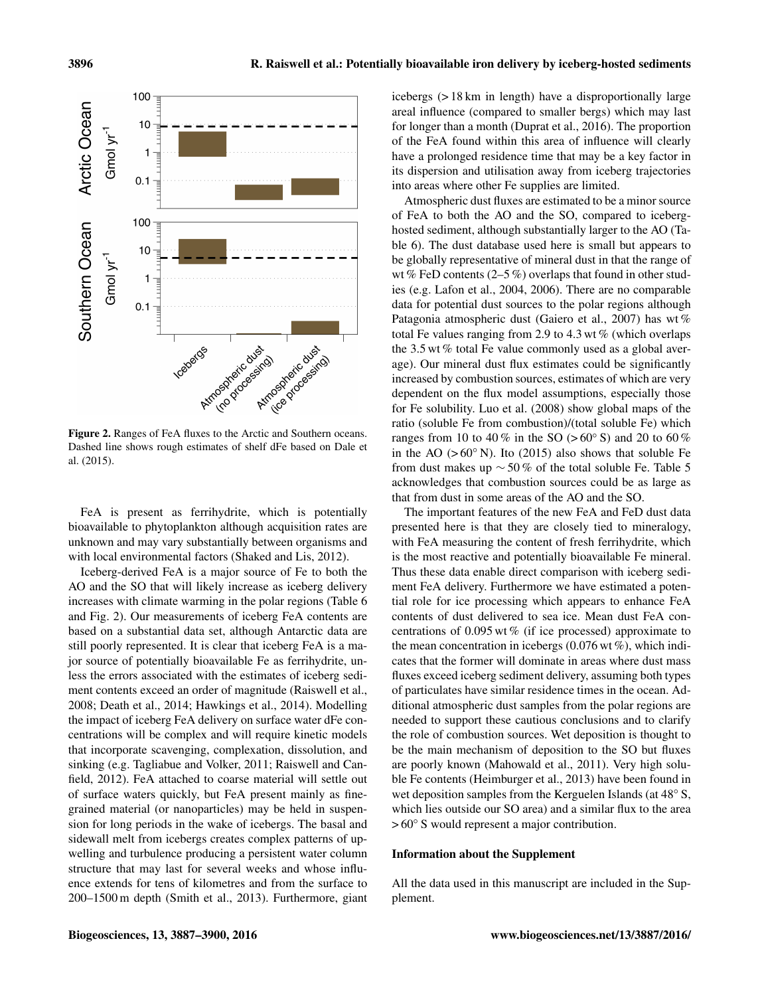

Figure 2. Ranges of FeA fluxes to the Arctic and Southern oceans. Dashed line shows rough estimates of shelf dFe based on Dale et al. (2015).

FeA is present as ferrihydrite, which is potentially bioavailable to phytoplankton although acquisition rates are unknown and may vary substantially between organisms and with local environmental factors (Shaked and Lis, 2012).

Iceberg-derived FeA is a major source of Fe to both the AO and the SO that will likely increase as iceberg delivery increases with climate warming in the polar regions (Table 6 and Fig. 2). Our measurements of iceberg FeA contents are based on a substantial data set, although Antarctic data are still poorly represented. It is clear that iceberg FeA is a major source of potentially bioavailable Fe as ferrihydrite, unless the errors associated with the estimates of iceberg sediment contents exceed an order of magnitude (Raiswell et al., 2008; Death et al., 2014; Hawkings et al., 2014). Modelling the impact of iceberg FeA delivery on surface water dFe concentrations will be complex and will require kinetic models that incorporate scavenging, complexation, dissolution, and sinking (e.g. Tagliabue and Volker, 2011; Raiswell and Canfield, 2012). FeA attached to coarse material will settle out of surface waters quickly, but FeA present mainly as finegrained material (or nanoparticles) may be held in suspension for long periods in the wake of icebergs. The basal and sidewall melt from icebergs creates complex patterns of upwelling and turbulence producing a persistent water column structure that may last for several weeks and whose influence extends for tens of kilometres and from the surface to 200–1500 m depth (Smith et al., 2013). Furthermore, giant

icebergs (> 18 km in length) have a disproportionally large areal influence (compared to smaller bergs) which may last for longer than a month (Duprat et al., 2016). The proportion of the FeA found within this area of influence will clearly have a prolonged residence time that may be a key factor in its dispersion and utilisation away from iceberg trajectories into areas where other Fe supplies are limited.

Atmospheric dust fluxes are estimated to be a minor source of FeA to both the AO and the SO, compared to iceberghosted sediment, although substantially larger to the AO (Table 6). The dust database used here is small but appears to be globally representative of mineral dust in that the range of wt % FeD contents  $(2-5\%)$  overlaps that found in other studies (e.g. Lafon et al., 2004, 2006). There are no comparable data for potential dust sources to the polar regions although Patagonia atmospheric dust (Gaiero et al., 2007) has wt % total Fe values ranging from 2.9 to 4.3 wt  $%$  (which overlaps the 3.5 wt % total Fe value commonly used as a global average). Our mineral dust flux estimates could be significantly increased by combustion sources, estimates of which are very dependent on the flux model assumptions, especially those for Fe solubility. Luo et al. (2008) show global maps of the ratio (soluble Fe from combustion)/(total soluble Fe) which ranges from 10 to 40 % in the SO ( $> 60°$  S) and 20 to 60 % in the AO ( $>60°$  N). Ito (2015) also shows that soluble Fe from dust makes up  $\sim$  50% of the total soluble Fe. Table 5 acknowledges that combustion sources could be as large as that from dust in some areas of the AO and the SO.

The important features of the new FeA and FeD dust data presented here is that they are closely tied to mineralogy, with FeA measuring the content of fresh ferrihydrite, which is the most reactive and potentially bioavailable Fe mineral. Thus these data enable direct comparison with iceberg sediment FeA delivery. Furthermore we have estimated a potential role for ice processing which appears to enhance FeA contents of dust delivered to sea ice. Mean dust FeA concentrations of  $0.095$  wt % (if ice processed) approximate to the mean concentration in icebergs  $(0.076 \text{ wt\%})$ , which indicates that the former will dominate in areas where dust mass fluxes exceed iceberg sediment delivery, assuming both types of particulates have similar residence times in the ocean. Additional atmospheric dust samples from the polar regions are needed to support these cautious conclusions and to clarify the role of combustion sources. Wet deposition is thought to be the main mechanism of deposition to the SO but fluxes are poorly known (Mahowald et al., 2011). Very high soluble Fe contents (Heimburger et al., 2013) have been found in wet deposition samples from the Kerguelen Islands (at 48◦ S, which lies outside our SO area) and a similar flux to the area > 60° S would represent a major contribution.

#### Information about the Supplement

All the data used in this manuscript are included in the Supplement.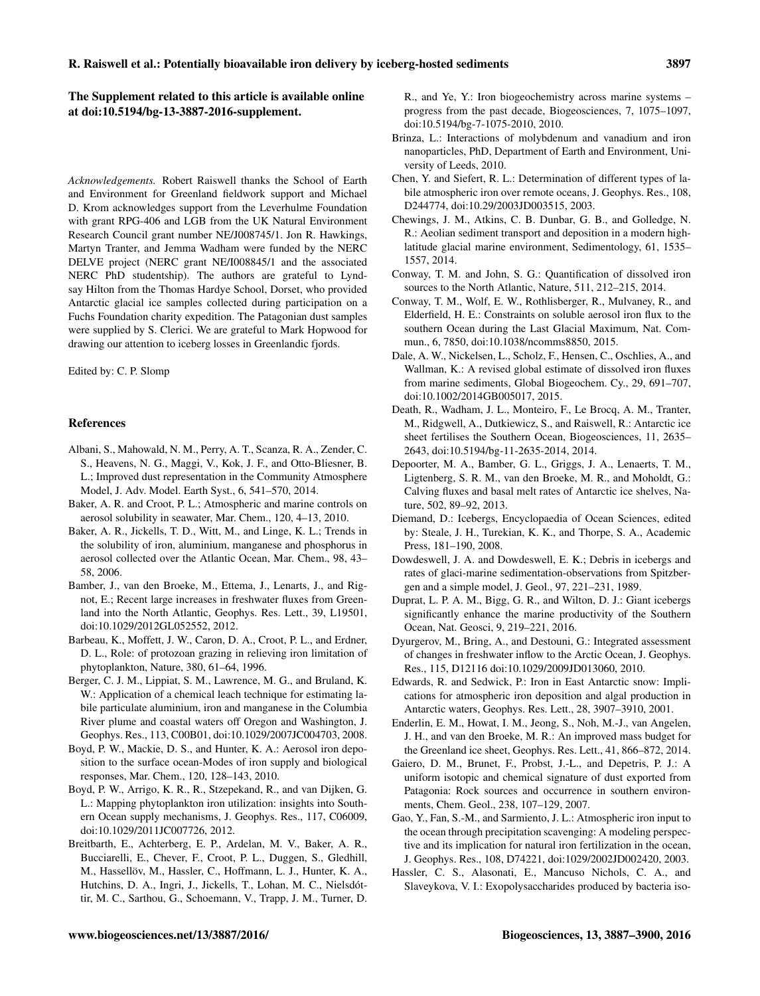The Supplement related to this article is available online at [doi:10.5194/bg-13-3887-2016-supplement.](http://dx.doi.org/10.5194/bg-13-3887-2016-supplement)

*Acknowledgements.* Robert Raiswell thanks the School of Earth and Environment for Greenland fieldwork support and Michael D. Krom acknowledges support from the Leverhulme Foundation with grant RPG-406 and LGB from the UK Natural Environment Research Council grant number NE/J008745/1. Jon R. Hawkings, Martyn Tranter, and Jemma Wadham were funded by the NERC DELVE project (NERC grant NE/I008845/1 and the associated NERC PhD studentship). The authors are grateful to Lyndsay Hilton from the Thomas Hardye School, Dorset, who provided Antarctic glacial ice samples collected during participation on a Fuchs Foundation charity expedition. The Patagonian dust samples were supplied by S. Clerici. We are grateful to Mark Hopwood for drawing our attention to iceberg losses in Greenlandic fjords.

Edited by: C. P. Slomp

#### References

- Albani, S., Mahowald, N. M., Perry, A. T., Scanza, R. A., Zender, C. S., Heavens, N. G., Maggi, V., Kok, J. F., and Otto-Bliesner, B. L.; Improved dust representation in the Community Atmosphere Model, J. Adv. Model. Earth Syst., 6, 541–570, 2014.
- Baker, A. R. and Croot, P. L.; Atmospheric and marine controls on aerosol solubility in seawater, Mar. Chem., 120, 4–13, 2010.
- Baker, A. R., Jickells, T. D., Witt, M., and Linge, K. L.; Trends in the solubility of iron, aluminium, manganese and phosphorus in aerosol collected over the Atlantic Ocean, Mar. Chem., 98, 43– 58, 2006.
- Bamber, J., van den Broeke, M., Ettema, J., Lenarts, J., and Rignot, E.; Recent large increases in freshwater fluxes from Greenland into the North Atlantic, Geophys. Res. Lett., 39, L19501, doi[:10.1029/2012GL052552,](http://dx.doi.org/10.1029/2012GL052552) 2012.
- Barbeau, K., Moffett, J. W., Caron, D. A., Croot, P. L., and Erdner, D. L., Role: of protozoan grazing in relieving iron limitation of phytoplankton, Nature, 380, 61–64, 1996.
- Berger, C. J. M., Lippiat, S. M., Lawrence, M. G., and Bruland, K. W.: Application of a chemical leach technique for estimating labile particulate aluminium, iron and manganese in the Columbia River plume and coastal waters off Oregon and Washington, J. Geophys. Res., 113, C00B01, doi[:10.1029/2007JC004703,](http://dx.doi.org/10.1029/2007JC004703) 2008.
- Boyd, P. W., Mackie, D. S., and Hunter, K. A.: Aerosol iron deposition to the surface ocean-Modes of iron supply and biological responses, Mar. Chem., 120, 128–143, 2010.
- Boyd, P. W., Arrigo, K. R., R., Stzepekand, R., and van Dijken, G. L.: Mapping phytoplankton iron utilization: insights into Southern Ocean supply mechanisms, J. Geophys. Res., 117, C06009, doi[:10.1029/2011JC007726,](http://dx.doi.org/10.1029/2011JC007726) 2012.
- Breitbarth, E., Achterberg, E. P., Ardelan, M. V., Baker, A. R., Bucciarelli, E., Chever, F., Croot, P. L., Duggen, S., Gledhill, M., Hassellöv, M., Hassler, C., Hoffmann, L. J., Hunter, K. A., Hutchins, D. A., Ingri, J., Jickells, T., Lohan, M. C., Nielsdóttir, M. C., Sarthou, G., Schoemann, V., Trapp, J. M., Turner, D.

R., and Ye, Y.: Iron biogeochemistry across marine systems – progress from the past decade, Biogeosciences, 7, 1075–1097, doi[:10.5194/bg-7-1075-2010,](http://dx.doi.org/10.5194/bg-7-1075-2010) 2010.

- Brinza, L.: Interactions of molybdenum and vanadium and iron nanoparticles, PhD, Department of Earth and Environment, University of Leeds, 2010.
- Chen, Y. and Siefert, R. L.: Determination of different types of labile atmospheric iron over remote oceans, J. Geophys. Res., 108, D244774, doi[:10.29/2003JD003515,](http://dx.doi.org/10.29/2003JD003515) 2003.
- Chewings, J. M., Atkins, C. B. Dunbar, G. B., and Golledge, N. R.: Aeolian sediment transport and deposition in a modern highlatitude glacial marine environment, Sedimentology, 61, 1535– 1557, 2014.
- Conway, T. M. and John, S. G.: Quantification of dissolved iron sources to the North Atlantic, Nature, 511, 212–215, 2014.
- Conway, T. M., Wolf, E. W., Rothlisberger, R., Mulvaney, R., and Elderfield, H. E.: Constraints on soluble aerosol iron flux to the southern Ocean during the Last Glacial Maximum, Nat. Commun., 6, 7850, doi[:10.1038/ncomms8850,](http://dx.doi.org/10.1038/ncomms8850) 2015.
- Dale, A. W., Nickelsen, L., Scholz, F., Hensen, C., Oschlies, A., and Wallman, K.: A revised global estimate of dissolved iron fluxes from marine sediments, Global Biogeochem. Cy., 29, 691–707, doi[:10.1002/2014GB005017,](http://dx.doi.org/10.1002/2014GB005017) 2015.
- Death, R., Wadham, J. L., Monteiro, F., Le Brocq, A. M., Tranter, M., Ridgwell, A., Dutkiewicz, S., and Raiswell, R.: Antarctic ice sheet fertilises the Southern Ocean, Biogeosciences, 11, 2635– 2643, doi[:10.5194/bg-11-2635-2014,](http://dx.doi.org/10.5194/bg-11-2635-2014) 2014.
- Depoorter, M. A., Bamber, G. L., Griggs, J. A., Lenaerts, T. M., Ligtenberg, S. R. M., van den Broeke, M. R., and Moholdt, G.: Calving fluxes and basal melt rates of Antarctic ice shelves, Nature, 502, 89–92, 2013.
- Diemand, D.: Icebergs, Encyclopaedia of Ocean Sciences, edited by: Steale, J. H., Turekian, K. K., and Thorpe, S. A., Academic Press, 181–190, 2008.
- Dowdeswell, J. A. and Dowdeswell, E. K.; Debris in icebergs and rates of glaci-marine sedimentation-observations from Spitzbergen and a simple model, J. Geol., 97, 221–231, 1989.
- Duprat, L. P. A. M., Bigg, G. R., and Wilton, D. J.: Giant icebergs significantly enhance the marine productivity of the Southern Ocean, Nat. Geosci, 9, 219–221, 2016.
- Dyurgerov, M., Bring, A., and Destouni, G.: Integrated assessment of changes in freshwater inflow to the Arctic Ocean, J. Geophys. Res., 115, D12116 doi[:10.1029/2009JD013060,](http://dx.doi.org/10.1029/2009JD013060) 2010.
- Edwards, R. and Sedwick, P.: Iron in East Antarctic snow: Implications for atmospheric iron deposition and algal production in Antarctic waters, Geophys. Res. Lett., 28, 3907–3910, 2001.
- Enderlin, E. M., Howat, I. M., Jeong, S., Noh, M.-J., van Angelen, J. H., and van den Broeke, M. R.: An improved mass budget for the Greenland ice sheet, Geophys. Res. Lett., 41, 866–872, 2014.
- Gaiero, D. M., Brunet, F., Probst, J.-L., and Depetris, P. J.: A uniform isotopic and chemical signature of dust exported from Patagonia: Rock sources and occurrence in southern environments, Chem. Geol., 238, 107–129, 2007.
- Gao, Y., Fan, S.-M., and Sarmiento, J. L.: Atmospheric iron input to the ocean through precipitation scavenging: A modeling perspective and its implication for natural iron fertilization in the ocean, J. Geophys. Res., 108, D74221, doi[:1029/2002JD002420,](http://dx.doi.org/1029/2002JD002420) 2003.
- Hassler, C. S., Alasonati, E., Mancuso Nichols, C. A., and Slaveykova, V. I.: Exopolysaccharides produced by bacteria iso-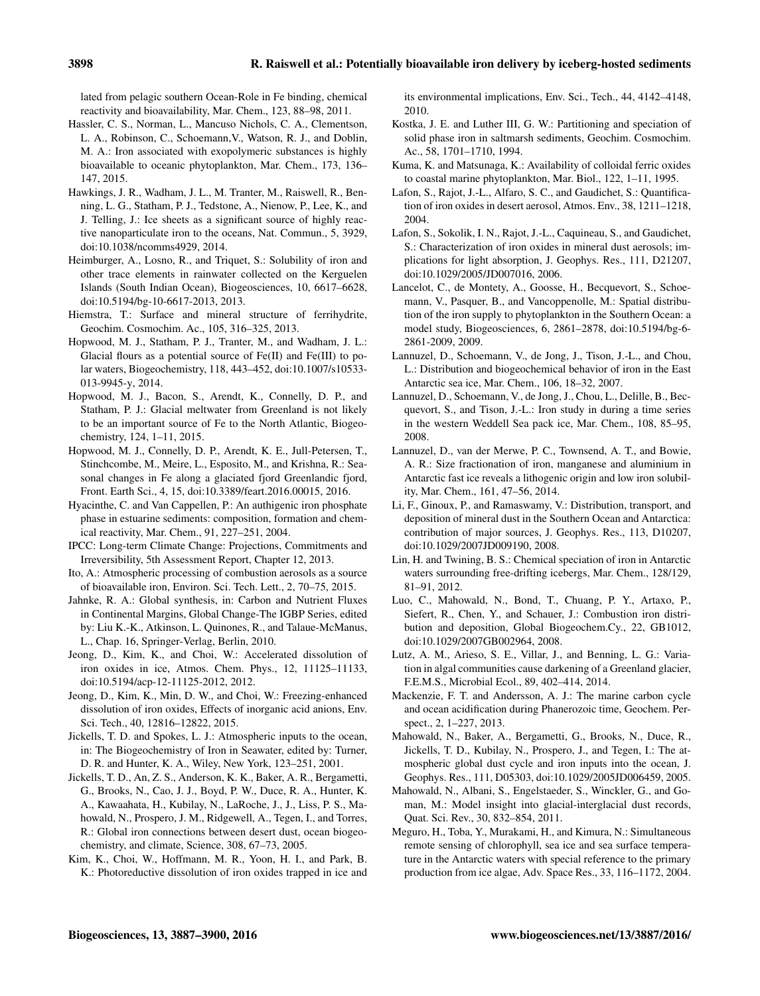lated from pelagic southern Ocean-Role in Fe binding, chemical reactivity and bioavailability, Mar. Chem., 123, 88–98, 2011.

- Hassler, C. S., Norman, L., Mancuso Nichols, C. A., Clementson, L. A., Robinson, C., Schoemann,V., Watson, R. J., and Doblin, M. A.: Iron associated with exopolymeric substances is highly bioavailable to oceanic phytoplankton, Mar. Chem., 173, 136– 147, 2015.
- Hawkings, J. R., Wadham, J. L., M. Tranter, M., Raiswell, R., Benning, L. G., Statham, P. J., Tedstone, A., Nienow, P., Lee, K., and J. Telling, J.: Ice sheets as a significant source of highly reactive nanoparticulate iron to the oceans, Nat. Commun., 5, 3929, doi[:10.1038/ncomms4929,](http://dx.doi.org/10.1038/ncomms4929) 2014.
- Heimburger, A., Losno, R., and Triquet, S.: Solubility of iron and other trace elements in rainwater collected on the Kerguelen Islands (South Indian Ocean), Biogeosciences, 10, 6617–6628, doi[:10.5194/bg-10-6617-2013,](http://dx.doi.org/10.5194/bg-10-6617-2013) 2013.
- Hiemstra, T.: Surface and mineral structure of ferrihydrite, Geochim. Cosmochim. Ac., 105, 316–325, 2013.
- Hopwood, M. J., Statham, P. J., Tranter, M., and Wadham, J. L.: Glacial flours as a potential source of Fe(II) and Fe(III) to polar waters, Biogeochemistry, 118, 443–452, doi[:10.1007/s10533-](http://dx.doi.org/10.1007/s10533-013-9945-y) [013-9945-y,](http://dx.doi.org/10.1007/s10533-013-9945-y) 2014.
- Hopwood, M. J., Bacon, S., Arendt, K., Connelly, D. P., and Statham, P. J.: Glacial meltwater from Greenland is not likely to be an important source of Fe to the North Atlantic, Biogeochemistry, 124, 1–11, 2015.
- Hopwood, M. J., Connelly, D. P., Arendt, K. E., Jull-Petersen, T., Stinchcombe, M., Meire, L., Esposito, M., and Krishna, R.: Seasonal changes in Fe along a glaciated fjord Greenlandic fjord, Front. Earth Sci., 4, 15, doi[:10.3389/feart.2016.00015,](http://dx.doi.org/10.3389/feart.2016.00015) 2016.
- Hyacinthe, C. and Van Cappellen, P.: An authigenic iron phosphate phase in estuarine sediments: composition, formation and chemical reactivity, Mar. Chem., 91, 227–251, 2004.
- IPCC: Long-term Climate Change: Projections, Commitments and Irreversibility, 5th Assessment Report, Chapter 12, 2013.
- Ito, A.: Atmospheric processing of combustion aerosols as a source of bioavailable iron, Environ. Sci. Tech. Lett., 2, 70–75, 2015.
- Jahnke, R. A.: Global synthesis, in: Carbon and Nutrient Fluxes in Continental Margins, Global Change-The IGBP Series, edited by: Liu K.-K., Atkinson, L. Quinones, R., and Talaue-McManus, L., Chap. 16, Springer-Verlag, Berlin, 2010.
- Jeong, D., Kim, K., and Choi, W.: Accelerated dissolution of iron oxides in ice, Atmos. Chem. Phys., 12, 11125–11133, doi[:10.5194/acp-12-11125-2012,](http://dx.doi.org/10.5194/acp-12-11125-2012) 2012.
- Jeong, D., Kim, K., Min, D. W., and Choi, W.: Freezing-enhanced dissolution of iron oxides, Effects of inorganic acid anions, Env. Sci. Tech., 40, 12816–12822, 2015.
- Jickells, T. D. and Spokes, L. J.: Atmospheric inputs to the ocean, in: The Biogeochemistry of Iron in Seawater, edited by: Turner, D. R. and Hunter, K. A., Wiley, New York, 123–251, 2001.
- Jickells, T. D., An, Z. S., Anderson, K. K., Baker, A. R., Bergametti, G., Brooks, N., Cao, J. J., Boyd, P. W., Duce, R. A., Hunter, K. A., Kawaahata, H., Kubilay, N., LaRoche, J., J., Liss, P. S., Mahowald, N., Prospero, J. M., Ridgewell, A., Tegen, I., and Torres, R.: Global iron connections between desert dust, ocean biogeochemistry, and climate, Science, 308, 67–73, 2005.
- Kim, K., Choi, W., Hoffmann, M. R., Yoon, H. I., and Park, B. K.: Photoreductive dissolution of iron oxides trapped in ice and

its environmental implications, Env. Sci., Tech., 44, 4142–4148, 2010.

- Kostka, J. E. and Luther III, G. W.: Partitioning and speciation of solid phase iron in saltmarsh sediments, Geochim. Cosmochim. Ac., 58, 1701–1710, 1994.
- Kuma, K. and Matsunaga, K.: Availability of colloidal ferric oxides to coastal marine phytoplankton, Mar. Biol., 122, 1–11, 1995.
- Lafon, S., Rajot, J.-L., Alfaro, S. C., and Gaudichet, S.: Quantification of iron oxides in desert aerosol, Atmos. Env., 38, 1211–1218, 2004.
- Lafon, S., Sokolik, I. N., Rajot, J.-L., Caquineau, S., and Gaudichet, S.: Characterization of iron oxides in mineral dust aerosols; implications for light absorption, J. Geophys. Res., 111, D21207, doi[:10.1029/2005/JD007016,](http://dx.doi.org/10.1029/2005/JD007016) 2006.
- Lancelot, C., de Montety, A., Goosse, H., Becquevort, S., Schoemann, V., Pasquer, B., and Vancoppenolle, M.: Spatial distribution of the iron supply to phytoplankton in the Southern Ocean: a model study, Biogeosciences, 6, 2861–2878, doi[:10.5194/bg-6-](http://dx.doi.org/10.5194/bg-6-2861-2009) [2861-2009,](http://dx.doi.org/10.5194/bg-6-2861-2009) 2009.
- Lannuzel, D., Schoemann, V., de Jong, J., Tison, J.-L., and Chou, L.: Distribution and biogeochemical behavior of iron in the East Antarctic sea ice, Mar. Chem., 106, 18–32, 2007.
- Lannuzel, D., Schoemann, V., de Jong, J., Chou, L., Delille, B., Becquevort, S., and Tison, J.-L.: Iron study in during a time series in the western Weddell Sea pack ice, Mar. Chem., 108, 85–95, 2008.
- Lannuzel, D., van der Merwe, P. C., Townsend, A. T., and Bowie, A. R.: Size fractionation of iron, manganese and aluminium in Antarctic fast ice reveals a lithogenic origin and low iron solubility, Mar. Chem., 161, 47–56, 2014.
- Li, F., Ginoux, P., and Ramaswamy, V.: Distribution, transport, and deposition of mineral dust in the Southern Ocean and Antarctica: contribution of major sources, J. Geophys. Res., 113, D10207, doi[:10.1029/2007JD009190,](http://dx.doi.org/10.1029/2007JD009190) 2008.
- Lin, H. and Twining, B. S.: Chemical speciation of iron in Antarctic waters surrounding free-drifting icebergs, Mar. Chem., 128/129, 81–91, 2012.
- Luo, C., Mahowald, N., Bond, T., Chuang, P. Y., Artaxo, P., Siefert, R., Chen, Y., and Schauer, J.: Combustion iron distribution and deposition, Global Biogeochem.Cy., 22, GB1012, doi[:10.1029/2007GB002964,](http://dx.doi.org/10.1029/2007GB002964) 2008.
- Lutz, A. M., Arieso, S. E., Villar, J., and Benning, L. G.: Variation in algal communities cause darkening of a Greenland glacier, F.E.M.S., Microbial Ecol., 89, 402–414, 2014.
- Mackenzie, F. T. and Andersson, A. J.: The marine carbon cycle and ocean acidification during Phanerozoic time, Geochem. Perspect., 2, 1–227, 2013.
- Mahowald, N., Baker, A., Bergametti, G., Brooks, N., Duce, R., Jickells, T. D., Kubilay, N., Prospero, J., and Tegen, I.: The atmospheric global dust cycle and iron inputs into the ocean, J. Geophys. Res., 111, D05303, doi[:10.1029/2005JD006459,](http://dx.doi.org/10.1029/2005JD006459) 2005.
- Mahowald, N., Albani, S., Engelstaeder, S., Winckler, G., and Goman, M.: Model insight into glacial-interglacial dust records, Quat. Sci. Rev., 30, 832–854, 2011.
- Meguro, H., Toba, Y., Murakami, H., and Kimura, N.: Simultaneous remote sensing of chlorophyll, sea ice and sea surface temperature in the Antarctic waters with special reference to the primary production from ice algae, Adv. Space Res., 33, 116–1172, 2004.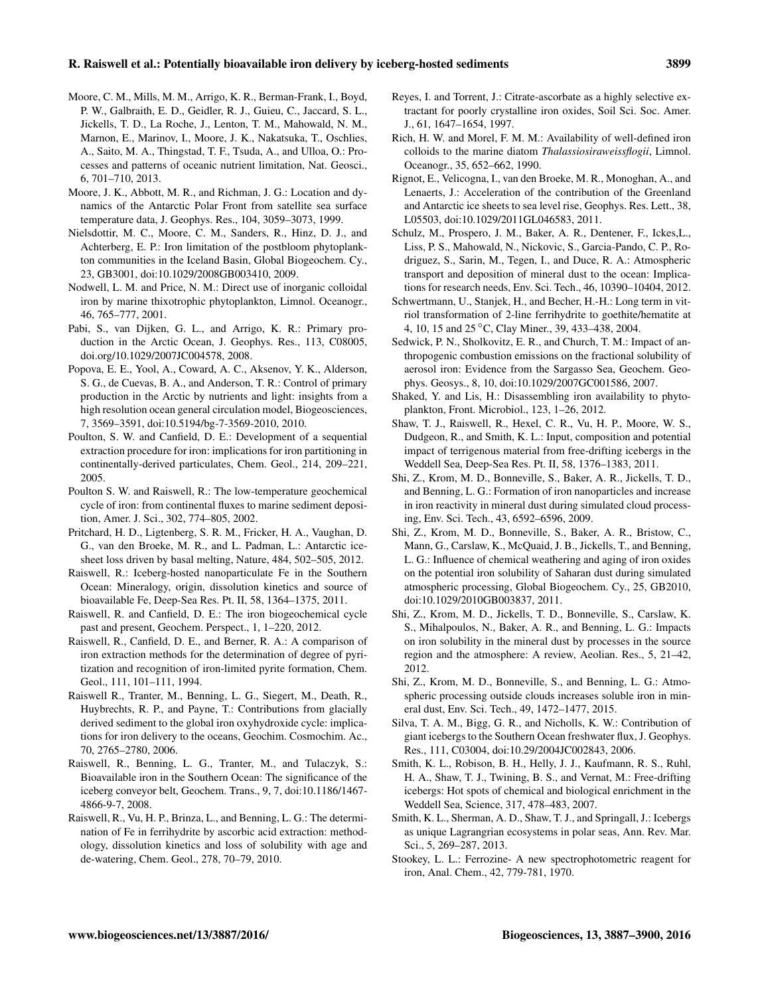## R. Raiswell et al.: Potentially bioavailable iron delivery by iceberg-hosted sediments 3899

- Moore, C. M., Mills, M. M., Arrigo, K. R., Berman-Frank, I., Boyd, P. W., Galbraith, E. D., Geidler, R. J., Guieu, C., Jaccard, S. L., Jickells, T. D., La Roche, J., Lenton, T. M., Mahowald, N. M., Marnon, E., Marinov, I., Moore, J. K., Nakatsuka, T., Oschlies, A., Saito, M. A., Thingstad, T. F., Tsuda, A., and Ulloa, O.: Processes and patterns of oceanic nutrient limitation, Nat. Geosci., 6, 701–710, 2013.
- Moore, J. K., Abbott, M. R., and Richman, J. G.: Location and dynamics of the Antarctic Polar Front from satellite sea surface temperature data, J. Geophys. Res., 104, 3059–3073, 1999.
- Nielsdottir, M. C., Moore, C. M., Sanders, R., Hinz, D. J., and Achterberg, E. P.: Iron limitation of the postbloom phytoplankton communities in the Iceland Basin, Global Biogeochem. Cy., 23, GB3001, doi[:10.1029/2008GB003410,](http://dx.doi.org/10.1029/2008GB003410) 2009.
- Nodwell, L. M. and Price, N. M.: Direct use of inorganic colloidal iron by marine thixotrophic phytoplankton, Limnol. Oceanogr., 46, 765–777, 2001.
- Pabi, S., van Dijken, G. L., and Arrigo, K. R.: Primary production in the Arctic Ocean, J. Geophys. Res., 113, C08005, doi.org/10.1029/2007JC004578, 2008.
- Popova, E. E., Yool, A., Coward, A. C., Aksenov, Y. K., Alderson, S. G., de Cuevas, B. A., and Anderson, T. R.: Control of primary production in the Arctic by nutrients and light: insights from a high resolution ocean general circulation model, Biogeosciences, 7, 3569–3591, doi[:10.5194/bg-7-3569-2010,](http://dx.doi.org/10.5194/bg-7-3569-2010) 2010.
- Poulton, S. W. and Canfield, D. E.: Development of a sequential extraction procedure for iron: implications for iron partitioning in continentally-derived particulates, Chem. Geol., 214, 209–221, 2005.
- Poulton S. W. and Raiswell, R.: The low-temperature geochemical cycle of iron: from continental fluxes to marine sediment deposition, Amer. J. Sci., 302, 774–805, 2002.
- Pritchard, H. D., Ligtenberg, S. R. M., Fricker, H. A., Vaughan, D. G., van den Broeke, M. R., and L. Padman, L.: Antarctic icesheet loss driven by basal melting, Nature, 484, 502–505, 2012.
- Raiswell, R.: Iceberg-hosted nanoparticulate Fe in the Southern Ocean: Mineralogy, origin, dissolution kinetics and source of bioavailable Fe, Deep-Sea Res. Pt. II, 58, 1364–1375, 2011.
- Raiswell, R. and Canfield, D. E.: The iron biogeochemical cycle past and present, Geochem. Perspect., 1, 1–220, 2012.
- Raiswell, R., Canfield, D. E., and Berner, R. A.: A comparison of iron extraction methods for the determination of degree of pyritization and recognition of iron-limited pyrite formation, Chem. Geol., 111, 101–111, 1994.
- Raiswell R., Tranter, M., Benning, L. G., Siegert, M., Death, R., Huybrechts, R. P., and Payne, T.: Contributions from glacially derived sediment to the global iron oxyhydroxide cycle: implications for iron delivery to the oceans, Geochim. Cosmochim. Ac., 70, 2765–2780, 2006.
- Raiswell, R., Benning, L. G., Tranter, M., and Tulaczyk, S.: Bioavailable iron in the Southern Ocean: The significance of the iceberg conveyor belt, Geochem. Trans., 9, 7, doi[:10.1186/1467-](http://dx.doi.org/10.1186/1467-4866-9-7) [4866-9-7,](http://dx.doi.org/10.1186/1467-4866-9-7) 2008.
- Raiswell, R., Vu, H. P., Brinza, L., and Benning, L. G.: The determination of Fe in ferrihydrite by ascorbic acid extraction: methodology, dissolution kinetics and loss of solubility with age and de-watering, Chem. Geol., 278, 70–79, 2010.
- Reyes, I. and Torrent, J.: Citrate-ascorbate as a highly selective extractant for poorly crystalline iron oxides, Soil Sci. Soc. Amer. J., 61, 1647–1654, 1997.
- Rich, H. W. and Morel, F. M. M.: Availability of well-defined iron colloids to the marine diatom *Thalassiosiraweissflogii*, Limnol. Oceanogr., 35, 652–662, 1990.
- Rignot, E., Velicogna, I., van den Broeke, M. R., Monoghan, A., and Lenaerts, J.: Acceleration of the contribution of the Greenland and Antarctic ice sheets to sea level rise, Geophys. Res. Lett., 38, L05503, doi[:10.1029/2011GL046583,](http://dx.doi.org/10.1029/2011GL046583) 2011.
- Schulz, M., Prospero, J. M., Baker, A. R., Dentener, F., Ickes,L., Liss, P. S., Mahowald, N., Nickovic, S., Garcia-Pando, C. P., Rodriguez, S., Sarin, M., Tegen, I., and Duce, R. A.: Atmospheric transport and deposition of mineral dust to the ocean: Implications for research needs, Env. Sci. Tech., 46, 10390–10404, 2012.
- Schwertmann, U., Stanjek, H., and Becher, H.-H.: Long term in vitriol transformation of 2-line ferrihydrite to goethite/hematite at 4, 10, 15 and 25 ◦C, Clay Miner., 39, 433–438, 2004.
- Sedwick, P. N., Sholkovitz, E. R., and Church, T. M.: Impact of anthropogenic combustion emissions on the fractional solubility of aerosol iron: Evidence from the Sargasso Sea, Geochem. Geophys. Geosys., 8, 10, doi[:10.1029/2007GC001586,](http://dx.doi.org/10.1029/2007GC001586) 2007.
- Shaked, Y. and Lis, H.: Disassembling iron availability to phytoplankton, Front. Microbiol., 123, 1–26, 2012.
- Shaw, T. J., Raiswell, R., Hexel, C. R., Vu, H. P., Moore, W. S., Dudgeon, R., and Smith, K. L.: Input, composition and potential impact of terrigenous material from free-drifting icebergs in the Weddell Sea, Deep-Sea Res. Pt. II, 58, 1376–1383, 2011.
- Shi, Z., Krom, M. D., Bonneville, S., Baker, A. R., Jickells, T. D., and Benning, L. G.: Formation of iron nanoparticles and increase in iron reactivity in mineral dust during simulated cloud processing, Env. Sci. Tech., 43, 6592–6596, 2009.
- Shi, Z., Krom, M. D., Bonneville, S., Baker, A. R., Bristow, C., Mann, G., Carslaw, K., McQuaid, J. B., Jickells, T., and Benning, L. G.: Influence of chemical weathering and aging of iron oxides on the potential iron solubility of Saharan dust during simulated atmospheric processing, Global Biogeochem. Cy., 25, GB2010, doi[:10.1029/2010GB003837,](http://dx.doi.org/10.1029/2010GB003837) 2011.
- Shi, Z., Krom, M. D., Jickells, T. D., Bonneville, S., Carslaw, K. S., Mihalpoulos, N., Baker, A. R., and Benning, L. G.: Impacts on iron solubility in the mineral dust by processes in the source region and the atmosphere: A review, Aeolian. Res., 5, 21–42, 2012.
- Shi, Z., Krom, M. D., Bonneville, S., and Benning, L. G.: Atmospheric processing outside clouds increases soluble iron in mineral dust, Env. Sci. Tech., 49, 1472–1477, 2015.
- Silva, T. A. M., Bigg, G. R., and Nicholls, K. W.: Contribution of giant icebergs to the Southern Ocean freshwater flux, J. Geophys. Res., 111, C03004, doi[:10.29/2004JC002843,](http://dx.doi.org/10.29/2004JC002843) 2006.
- Smith, K. L., Robison, B. H., Helly, J. J., Kaufmann, R. S., Ruhl, H. A., Shaw, T. J., Twining, B. S., and Vernat, M.: Free-drifting icebergs: Hot spots of chemical and biological enrichment in the Weddell Sea, Science, 317, 478–483, 2007.
- Smith, K. L., Sherman, A. D., Shaw, T. J., and Springall, J.: Icebergs as unique Lagrangrian ecosystems in polar seas, Ann. Rev. Mar. Sci., 5, 269–287, 2013.
- Stookey, L. L.: Ferrozine- A new spectrophotometric reagent for iron, Anal. Chem., 42, 779-781, 1970.